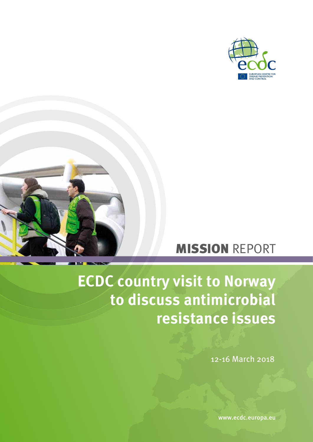



# MISSION REPORT

# **ECDC country visit to Norway to discuss antimicrobial resistance issues**

12-16 March 2018

www.ecdc.europa.eu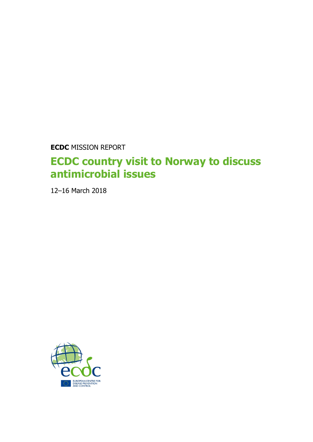**ECDC** MISSION REPORT

# **ECDC country visit to Norway to discuss antimicrobial issues**

12–16 March 2018

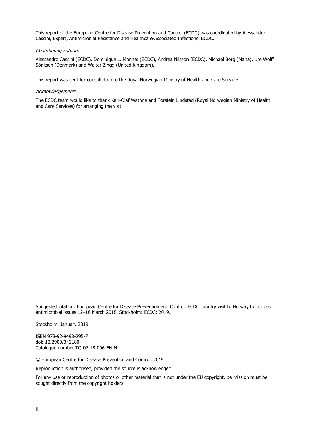This report of the European Centre for Disease Prevention and Control (ECDC) was coordinated by Alessandro Cassini, Expert, Antimicrobial Resistance and Healthcare-Associated Infections, ECDC.

#### Contributing authors

Alessandro Cassini (ECDC), Dominique L. Monnet (ECDC), Andrea Nilsson (ECDC), Michael Borg (Malta), Ute Wolff Sönksen (Denmark) and Walter Zingg (United Kingdom).

This report was sent for consultation to the Royal Norwegian Ministry of Health and Care Services.

#### **Acknowledgements**

The ECDC team would like to thank Karl-Olaf Wathne and Torstein Lindstad (Royal Norwegian Ministry of Health and Care Services) for arranging the visit.

Suggested citation: European Centre for Disease Prevention and Control. ECDC country visit to Norway to discuss antimicrobial issues 12–16 March 2018. Stockholm: ECDC; 2019.

Stockholm, January 2019

ISBN 978-92-9498-295-7 doi: 10.2900/342180 Catalogue number TQ-07-18-096-EN-N

© European Centre for Disease Prevention and Control, 2019

Reproduction is authorised, provided the source is acknowledged.

For any use or reproduction of photos or other material that is not under the EU copyright, permission must be sought directly from the copyright holders.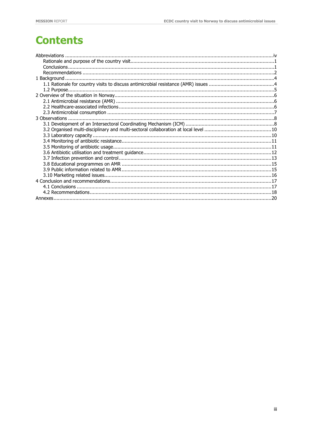# **Contents**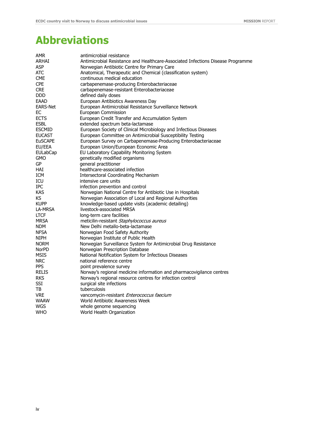# <span id="page-4-0"></span>**Abbreviations**

| <b>AMR</b>      | antimicrobial resistance                                                        |
|-----------------|---------------------------------------------------------------------------------|
| ARHAI           | Antimicrobial Resistance and Healthcare-Associated Infections Disease Programme |
| <b>ASP</b>      | Norwegian Antibiotic Centre for Primary Care                                    |
| <b>ATC</b>      | Anatomical, Therapeutic and Chemical (classification system)                    |
| <b>CME</b>      | continuous medical education                                                    |
| <b>CPE</b>      | carbapenemase-producing Enterobacteriaceae                                      |
| <b>CRE</b>      | carbapenemase-resistant Enterobacteriaceae                                      |
| <b>DDD</b>      | defined daily doses                                                             |
| EAAD            | European Antibiotics Awareness Day                                              |
| <b>EARS-Net</b> | European Antimicrobial Resistance Surveillance Network                          |
| EС              | European Commission                                                             |
| <b>ECTS</b>     | European Credit Transfer and Accumulation System                                |
| <b>ESBL</b>     | extended spectrum beta-lactamase                                                |
| <b>ESCMID</b>   | European Society of Clinical Microbiology and Infectious Diseases               |
| <b>EUCAST</b>   | European Committee on Antimicrobial Susceptibility Testing                      |
| <b>EuSCAPE</b>  | European Survey on Carbapenemase-Producing Enterobacteriaceae                   |
| EU/EEA          | European Union/European Economic Area                                           |
| <b>EULabCap</b> | EU Laboratory Capability Monitoring System                                      |
| <b>GMO</b>      | genetically modified organisms                                                  |
| GP              | general practitioner                                                            |
| HAI             | healthcare-associated infection                                                 |
| <b>ICM</b>      | <b>Intersectoral Coordinating Mechanism</b>                                     |
| ICU             | intensive care units                                                            |
| <b>IPC</b>      | infection prevention and control                                                |
| <b>KAS</b>      | Norwegian National Centre for Antibiotic Use in Hospitals                       |
| КS              | Norwegian Association of Local and Regional Authorities                         |
| <b>KUPP</b>     | knowledge-based update visits (academic detailing)                              |
| LA-MRSA         | livestock-associated MRSA                                                       |
| <b>LTCF</b>     | long-term care facilities                                                       |
| <b>MRSA</b>     | meticilin-resistant Staphylococcus aureus                                       |
| <b>NDM</b>      | New Delhi metallo-beta-lactamase                                                |
| <b>NFSA</b>     | Norwegian Food Safety Authority                                                 |
| <b>NIPH</b>     | Norwegian Institute of Public Health                                            |
| <b>NORM</b>     | Norwegian Surveillance System for Antimicrobial Drug Resistance                 |
| <b>NorPD</b>    | Norwegian Prescription Database                                                 |
| <b>MSIS</b>     | National Notification System for Infectious Diseases                            |
| <b>NRC</b>      | national reference centre                                                       |
| <b>PPS</b>      | point prevalence survey                                                         |
| <b>RELIS</b>    | Norway's regional medicine information and pharmacovigilance centres            |
| <b>RKS</b>      | Norway's regional resource centres for infection control                        |
| <b>SSI</b>      | surgical site infections                                                        |
| TВ              | tuberculosis                                                                    |
| <b>VRE</b>      | vancomycin-resistant Enterococcus faecium                                       |
| <b>WAAW</b>     | World Antibiotic Awareness Week                                                 |
| WGS             | whole genome sequencing                                                         |
| <b>WHO</b>      | World Health Organization                                                       |
|                 |                                                                                 |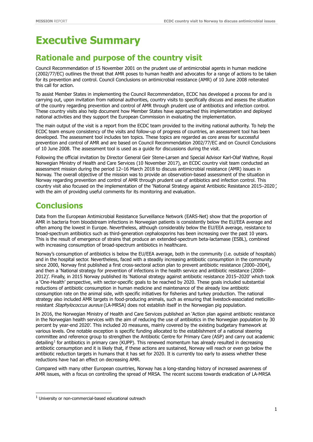# **Executive Summary**

# <span id="page-5-0"></span>**Rationale and purpose of the country visit**

Council Recommendation of 15 November 2001 on the prudent use of antimicrobial agents in human medicine (2002/77/EC) outlines the threat that AMR poses to human health and advocates for a range of actions to be taken for its prevention and control. Council Conclusions on antimicrobial resistance (AMR) of 10 June 2008 reiterated this call for action.

To assist Member States in implementing the Council Recommendation, ECDC has developed a process for and is carrying out, upon invitation from national authorities, country visits to specifically discuss and assess the situation of the country regarding prevention and control of AMR through prudent use of antibiotics and infection control. These country visits also help document how Member States have approached this implementation and deployed national activities and they support the European Commission in evaluating the implementation.

The main output of the visit is a report from the ECDC team provided to the inviting national authority. To help the ECDC team ensure consistency of the visits and follow-up of progress of countries, an assessment tool has been developed. The assessment tool includes ten topics. These topics are regarded as core areas for successful prevention and control of AMR and are based on Council Recommendation 2002/77/EC and on Council Conclusions of 10 June 2008. The assessment tool is used as a guide for discussions during the visit.

Following the official invitation by Director General Geir Stene-Larsen and Special Advisor Karl-Olaf Wathne, Royal Norwegian Ministry of Health and Care Services (10 November 2017), an ECDC country visit team conducted an assessment mission during the period 12–16 March 2018 to discuss antimicrobial resistance (AMR) issues in Norway. The overall objective of the mission was to provide an observation-based assessment of the situation in Norway regarding prevention and control of AMR through prudent use of antibiotics and infection control. This country visit also focused on the implementation of the 'National Strategy against Antibiotic Resistance 2015–2020', with the aim of providing useful comments for its monitoring and evaluation.

# <span id="page-5-1"></span>**Conclusions**

Data from the European Antimicrobial Resistance Surveillance Network (EARS-Net) show that the proportion of AMR in bacteria from bloodstream infections in Norwegian patients is consistently below the EU/EEA average and often among the lowest in Europe. Nevertheless, although considerably below the EU/EEA average, resistance to broad-spectrum antibiotics such as third-generation cephalosporins has been increasing over the past 10 years. This is the result of emergence of strains that produce an extended-spectrum beta-lactamase (ESBL), combined with increasing consumption of broad-spectrum antibiotics in healthcare.

Norway's consumption of antibiotics is below the EU/EEA average, both in the community (i.e. outside of hospitals) and in the hospital sector. Nevertheless, faced with a steadily increasing antibiotic consumption in the community since 2000, Norway first published a first cross-sectoral action plan to prevent antibiotic resistance (2000–2004), and then a 'National strategy for prevention of infections in the health service and antibiotic resistance (2008– 2012)'. Finally, in 2015 Norway published its 'National strategy against antibiotic resistance 2015–2020' which took a 'One-Health' perspective, with sector-specific goals to be reached by 2020. These goals included substantial reductions of antibiotic consumption in human medicine and maintenance of the already low antibiotic consumption rate on the animal side, with specific initiatives for fisheries and turkey production. The national strategy also included AMR targets in food-producing animals, such as ensuring that livestock-associated meticillinresistant Staphylococcus aureus (LA-MRSA) does not establish itself in the Norwegian pig population.

In 2016, the Norwegian Ministry of Health and Care Services published an 'Action plan against antibiotic resistance in the Norwegian health services with the aim of reducing the use of antibiotics in the Norwegian population by 30 percent by year-end 2020'. This included 20 measures, mainly covered by the existing budgetary framework at various levels. One notable exception is specific funding allocated to the establishment of a national steering committee and reference group to strengthen the Antibiotic Centre for Primary Care (ASP) and carry out academic detailing<sup>[1](#page-5-2)</sup> for antibiotics in primary care (KUPP). This renewed momentum has already resulted in decreasing antibiotic consumption and it is likely that, if these actions are sustained, Norway will reach or even go below the antibiotic reduction targets in humans that it has set for 2020. It is currently too early to assess whether these reductions have had an effect on decreasing AMR.

Compared with many other European countries, Norway has a long-standing history of increased awareness of AMR issues, with a focus on controlling the spread of MRSA. The recent success towards eradication of LA-MRSA

ī

<span id="page-5-2"></span> $1$  University or non-commercial-based educational outreach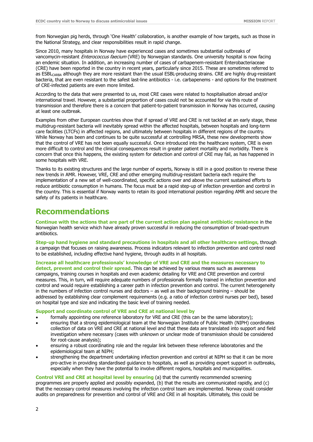from Norwegian pig herds, through 'One Health' collaboration, is another example of how targets, such as those in the National Strategy, and clear responsibilities result in rapid change.

Since 2010, many hospitals in Norway have experienced cases and sometimes substantial outbreaks of vancomycin-resistant Enterococcus faecium (VRE) by Norwegian standards. One university hospital is now facing an endemic situation. In addition, an increasing number of cases of carbapenem-resistant Enterobacteriaceae (CRE) have been reported in the country in recent years, particularly since 2015. These are sometimes referred to as ESBL<sub>CARBA</sub> although they are more resistant than the usual ESBL-producing strains. CRE are highly drug-resistant bacteria, that are even resistant to the safest last-line antibiotics - i.e. carbapenems - and options for the treatment of CRE-infected patients are even more limited.

According to the data that were presented to us, most CRE cases were related to hospitalisation abroad and/or international travel. However, a substantial proportion of cases could not be accounted for via this route of transmission and therefore there is a concern that patient-to-patient transmission in Norway has occurred, causing at least one outbreak.

Examples from other European countries show that if spread of VRE and CRE is not tackled at an early stage, these multidrug-resistant bacteria will inevitably spread within the affected hospitals, between hospitals and long-term care facilities (LTCFs) in affected regions, and ultimately between hospitals in different regions of the country. While Norway has been and continues to be quite successful at controlling MRSA, these new developments show that the control of VRE has not been equally successful. Once introduced into the healthcare system, CRE is even more difficult to control and the clinical consequences result in greater patient mortality and morbidity. There is concern that once this happens, the existing system for detection and control of CRE may fail, as has happened in some hospitals with VRE.

Thanks to its existing structures and the large number of experts, Norway is still in a good position to reverse these new trends in AMR. However, VRE, CRE and other emerging multidrug-resistant bacteria each require the implementation of a new set of well-coordinated, specific actions over and above the current sustained efforts to reduce antibiotic consumption in humans. The focus must be a rapid step-up of infection prevention and control in the country. This is essential if Norway wants to retain its good international position regarding AMR and secure the safety of its patients in healthcare.

# <span id="page-6-0"></span>**Recommendations**

**Continue with the actions that are part of the current action plan against antibiotic resistance** in the Norwegian health service which have already proven successful in reducing the consumption of broad-spectrum antibiotics.

**Step-up hand hygiene and standard precautions in hospitals and all other healthcare settings,** through a campaign that focuses on raising awareness. Process indicators relevant to infection prevention and control need to be established, including effective hand hygiene, through audits in all hospitals.

**Increase all healthcare professionals' knowledge of VRE and CRE and the measures necessary to detect, prevent and control their spread**. This can be achieved by various means such as awareness campaigns, training courses in hospitals and even academic detailing for VRE and CRE prevention and control measures. This, in turn, will require adequate numbers of professionals formally trained in infection prevention and control and would require establishing a career path in infection prevention and control. The current heterogeneity in the numbers of infection control nurses and doctors – as well as their background training – should be addressed by establishing clear complement requirements (e.g. a ratio of infection control nurses per bed), based on hospital type and size and indicating the basic level of training needed.

#### **Support and coordinate control of VRE and CRE at national level by**

- formally appointing one reference laboratory for VRE and CRE (this can be the same laboratory);
- ensuring that a strong epidemiological team at the Norwegian Institute of Public Health (NIPH) coordinates collection of data on VRE and CRE at national level and that these data are translated into support and field investigation where necessary (cases with unknown or unclear mode of transmission should be considered for root-cause analysis);
- ensuring a robust coordinating role and the regular link between these reference laboratories and the epidemiological team at NIPH;
- strengthening the department undertaking infection prevention and control at NIPH so that it can be more pro-active in providing standardised guidance to hospitals, as well as providing expert support in outbreaks, especially when they have the potential to involve different regions, hospitals and municipalities.

**Control VRE and CRE at hospital level by ensuring** (a) that the currently recommended screening programmes are properly applied and possibly expanded, (b) that the results are communicated rapidly, and (c) that the necessary control measures involving the infection control team are implemented. Norway could consider audits on preparedness for prevention and control of VRE and CRE in all hospitals. Ultimately, this could be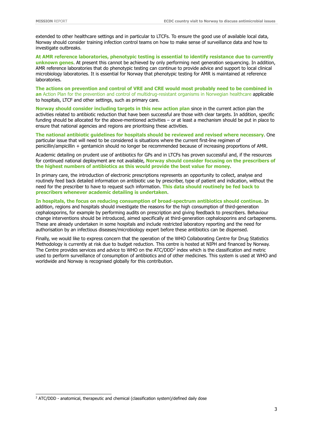extended to other healthcare settings and in particular to LTCFs. To ensure the good use of available local data, Norway should consider training infection control teams on how to make sense of surveillance data and how to investigate outbreaks.

**At AMR reference laboratories, phenotypic testing is essential to identify resistance due to currently unknown genes**. At present this cannot be achieved by only performing next generation sequencing. In addition, AMR reference laboratories that do phenotypic testing can continue to provide advice and support to local clinical microbiology laboratories. It is essential for Norway that phenotypic testing for AMR is maintained at reference laboratories.

**The actions on prevention and control of VRE and CRE would most probably need to be combined in an** Action Plan for the prevention and control of multidrug-resistant organisms in Norwegian healthcare applicable to hospitals, LTCF and other settings, such as primary care.

**Norway should consider including targets in this new action plan** since in the current action plan the activities related to antibiotic reduction that have been successful are those with clear targets. In addition, specific funding should be allocated for the above-mentioned activities – or at least a mechanism should be put in place to ensure that national agencies and regions are prioritising these activities.

**The national antibiotic guidelines for hospitals should be reviewed and revised where necessary**. One particular issue that will need to be considered is situations where the current first-line regimen of penicillin/ampicillin + gentamicin should no longer be recommended because of increasing proportions of AMR.

Academic detailing on prudent use of antibiotics for GPs and in LTCFs has proven successful and, if the resources for continued national deployment are not available, **Norway should consider focusing on the prescribers of the highest numbers of antibiotics as this would provide the best value for money**.

In primary care, the introduction of electronic prescriptions represents an opportunity to collect, analyse and routinely feed back detailed information on antibiotic use by prescriber, type of patient and indication, without the need for the prescriber to have to request such information. **This data should routinely be fed back to prescribers whenever academic detailing is undertaken**.

**In hospitals, the focus on reducing consumption of broad-spectrum antibiotics should continue**. In addition, regions and hospitals should investigate the reasons for the high consumption of third-generation cephalosporins, for example by performing audits on prescription and giving feedback to prescribers. Behaviour change interventions should be introduced, aimed specifically at third-generation cephalosporins and carbapenems. These are already undertaken in some hospitals and include restricted laboratory reporting and the need for authorisation by an infectious diseases/microbiology expert before these antibiotics can be dispensed.

Finally, we would like to express concern that the operation of the WHO Collaborating Centre for Drug Statistics Methodology is currently at risk due to budget reduction. This centre is hosted at NIPH and financed by Norway. The Centre provides services and advice to WHO on the ATC/DDD<sup>[2](#page-7-0)</sup> index which is the classification and metric used to perform surveillance of consumption of antibiotics and of other medicines. This system is used at WHO and worldwide and Norway is recognised globally for this contribution.

<span id="page-7-0"></span><sup>&</sup>lt;sup>2</sup> ATC/DDD - anatomical, therapeutic and chemical (classification system)/defined daily dose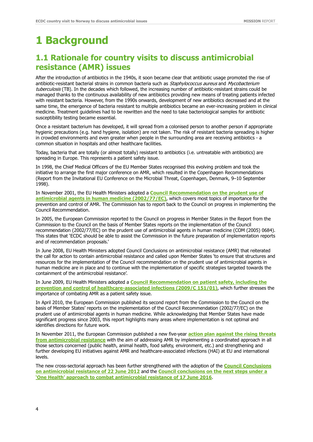# <span id="page-8-0"></span>**1 Background**

# <span id="page-8-1"></span>**1.1 Rationale for country visits to discuss antimicrobial resistance (AMR) issues**

After the introduction of antibiotics in the 1940s, it soon became clear that antibiotic usage promoted the rise of antibiotic-resistant bacterial strains in common bacteria such as Staphylococcus aureus and Mycobacterium tuberculosis (TB). In the decades which followed, the increasing number of antibiotic-resistant strains could be managed thanks to the continuous availability of new antibiotics providing new means of treating patients infected with resistant bacteria. However, from the 1990s onwards, development of new antibiotics decreased and at the same time, the emergence of bacteria resistant to multiple antibiotics became an ever-increasing problem in clinical medicine. Treatment guidelines had to be rewritten and the need to take bacteriological samples for antibiotic susceptibility testing became essential.

Once a resistant bacterium has developed, it will spread from a colonised person to another person if appropriate hygienic precautions (e.g. hand hygiene, isolation) are not taken. The risk of resistant bacteria spreading is higher in crowded environments and even greater when people in the surrounding area are receiving antibiotics - a common situation in hospitals and other healthcare facilities.

Today, bacteria that are totally (or almost totally) resistant to antibiotics (i.e. untreatable with antibiotics) are spreading in Europe. This represents a patient safety issue.

In 1998, the Chief Medical Officers of the EU Member States recognised this evolving problem and took the initiative to arrange the first major conference on AMR, which resulted in the Copenhagen Recommendations (Report from the Invitational EU Conference on the Microbial Threat, Copenhagen, Denmark, 9–10 September 1998).

In November 2001, the EU Health Ministers adopted a **[Council Recommendation on the prudent use of](http://eur-lex.europa.eu/LexUriServ/LexUriServ.do?uri=OJ:L:2002:034:0013:0016:EN:PDF)  [antimicrobial agents in human medicine \(2002/77/EC\)](http://eur-lex.europa.eu/LexUriServ/LexUriServ.do?uri=OJ:L:2002:034:0013:0016:EN:PDF)**, which covers most topics of importance for the prevention and control of AMR. The Commission has to report back to the Council on progress in implementing the Council Recommendation.

In 2005, the European Commission reported to the Council on progress in Member States in the Report from the Commission to the Council on the basis of Member States reports on the implementation of the Council recommendation (2002/77/EC) on the prudent use of antimicrobial agents in human medicine (COM (2005) 0684). This states that 'ECDC should be able to assist the Commission in the future preparation of implementation reports and of recommendation proposals.'

In June 2008, EU Health Ministers adopted Council Conclusions on antimicrobial resistance (AMR) that reiterated the call for action to contain antimicrobial resistance and called upon Member States 'to ensure that structures and resources for the implementation of the Council recommendation on the prudent use of antimicrobial agents in human medicine are in place and to continue with the implementation of specific strategies targeted towards the containment of the antimicrobial resistance'.

In June 2009, EU Health Ministers adopted a **[Council Recommendation on patient safety, including the](http://ec.europa.eu/health/patient_safety/docs/council_2009_en.pdf)  [prevention and control of healthcare-associated infections \(2009/C 151/01\)](http://ec.europa.eu/health/patient_safety/docs/council_2009_en.pdf)**, which further stresses the importance of combating AMR as a patient safety issue.

In April 2010, the European Commission published its second report from the Commission to the Council on the basis of Member States' reports on the implementation of the Council Recommendation (2002/77/EC) on the prudent use of antimicrobial agents in human medicine. While acknowledging that Member States have made significant progress since 2003, this report highlights many areas where implementation is not optimal and identifies directions for future work.

In November 2011, the European Commission published a new five-year **action [plan against the rising threats](http://ec.europa.eu/dgs/health_consumer/docs/communication_amr_2011_748_en.pdf)  [from antimicrobial resistance](http://ec.europa.eu/dgs/health_consumer/docs/communication_amr_2011_748_en.pdf)** with the aim of addressing AMR by implementing a coordinated approach in all those sectors concerned (public health, animal health, food safety, environment, etc.) and strengthening and further developing EU initiatives against AMR and healthcare-associated infections (HAI) at EU and international levels.

The new cross-sectorial approach has been further strengthened with the adoption of the **[Council Conclusions](http://www.consilium.europa.eu/uedocs/cms_data/docs/pressdata/en/lsa/131126.pdf)  [on antimicrobial resistance of 22 June 2012](http://www.consilium.europa.eu/uedocs/cms_data/docs/pressdata/en/lsa/131126.pdf)** and the **[Council conclusions on the next steps under a](http://www.consilium.europa.eu/press-releases-pdf/2016/6/47244642809_en.pdf)  'One Health' [approach to combat antimicrobial resistance of 17 June 2016](http://www.consilium.europa.eu/press-releases-pdf/2016/6/47244642809_en.pdf)**.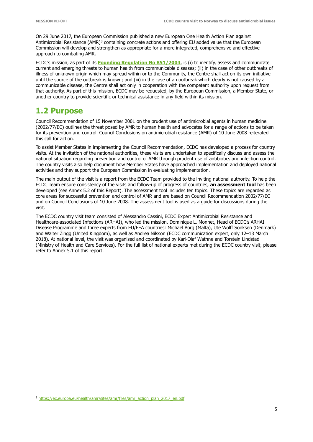On 29 June 2017, the European Commission published a new European One Health Action Plan against Antimicrobial Resistance (AMR)<sup>[3](#page-9-1)</sup> containing concrete actions and offering EU added value that the European Commission will develop and strengthen as appropriate for a more integrated, comprehensive and effective approach to combating AMR.

ECDC's mission, as part of its **[Founding Regulation No 851/2004](http://ecdc.europa.eu/en/aboutus/Key%20Documents/0404_KD_Regulation_establishing_ECDC.pdf)**, is (i) to identify, assess and communicate current and emerging threats to human health from communicable diseases; (ii) in the case of other outbreaks of illness of unknown origin which may spread within or to the Community, the Centre shall act on its own initiative until the source of the outbreak is known; and (iii) in the case of an outbreak which clearly is not caused by a communicable disease, the Centre shall act only in cooperation with the competent authority upon request from that authority. As part of this mission, ECDC may be requested, by the European Commission, a Member State, or another country to provide scientific or technical assistance in any field within its mission.

# <span id="page-9-0"></span>**1.2 Purpose**

Council Recommendation of 15 November 2001 on the prudent use of antimicrobial agents in human medicine (2002/77/EC) outlines the threat posed by AMR to human health and advocates for a range of actions to be taken for its prevention and control. Council Conclusions on antimicrobial resistance (AMR) of 10 June 2008 reiterated this call for action.

To assist Member States in implementing the Council Recommendation, ECDC has developed a process for country visits. At the invitation of the national authorities, these visits are undertaken to specifically discuss and assess the national situation regarding prevention and control of AMR through prudent use of antibiotics and infection control. The country visits also help document how Member States have approached implementation and deployed national activities and they support the European Commission in evaluating implementation.

The main output of the visit is a report from the ECDC Team provided to the inviting national authority. To help the ECDC Team ensure consistency of the visits and follow-up of progress of countries, **an assessment tool** has been developed (see Annex 5.2 of this Report). The assessment tool includes ten topics. These topics are regarded as core areas for successful prevention and control of AMR and are based on Council Recommendation 2002/77/EC and on Council Conclusions of 10 June 2008. The assessment tool is used as a guide for discussions during the visit.

The ECDC country visit team consisted of Alessandro Cassini, ECDC Expert Antimicrobial Resistance and Healthcare-associated Infections (ARHAI), who led the mission, Dominique L. Monnet, Head of ECDC's ARHAI Disease Programme and three experts from EU/EEA countries: Michael Borg (Malta), Ute Wolff Sönksen (Denmark) and Walter Zingg (United Kingdom), as well as Andrea Nilsson (ECDC communication expert, only 12–13 March 2018). At national level, the visit was organised and coordinated by Karl-Olaf Wathne and Torstein Lindstad (Ministry of Health and Care Services). For the full list of national experts met during the ECDC country visit, please refer to Annex 5.1 of this report.

<span id="page-9-1"></span> <sup>3</sup> [https://ec.europa.eu/health/amr/sites/amr/files/amr\\_action\\_plan\\_2017\\_en.pdf](https://ec.europa.eu/health/amr/sites/amr/files/amr_action_plan_2017_en.pdf)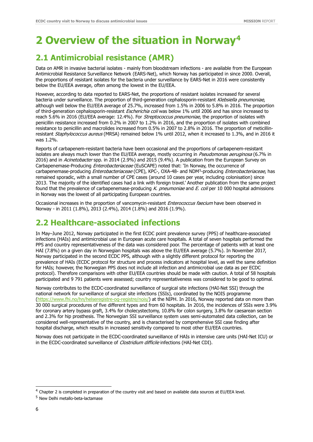# <span id="page-10-0"></span>**2 Overview of the situation in Norway[4](#page-10-3)**

# <span id="page-10-1"></span>**2.1 Antimicrobial resistance (AMR)**

Data on AMR in invasive bacterial isolates - mainly from bloodstream infections - are available from the European Antimicrobial Resistance Surveillance Network (EARS-Net), which Norway has participated in since 2000. Overall, the proportions of resistant isolates for the bacteria under surveillance by EARS-Net in 2016 were consistently below the EU/EEA average, often among the lowest in the EU/EEA.

However, according to data reported to EARS-Net, the proportions of resistant isolates increased for several bacteria under surveillance. The proportion of third-generation cephalosporin-resistant Klebsiella pneumoniae, although well below the EU/EEA average of 25.7%, increased from 1.5% in 2006 to 5.8% in 2016. The proportion of third-generation cephalosporin-resistant Escherichia coli was below 1% until 2006 and has since increased to reach 5.6% in 2016 (EU/EEA average: 12.4%). For Streptococcus pneumoniae, the proportion of isolates with penicillin resistance increased from 0.2% in 2007 to 1.2% in 2016, and the proportion of isolates with combined resistance to penicillin and macrolides increased from 0.5% in 2007 to 2.8% in 2016. The proportion of meticillinresistant Staphylococcus aureus (MRSA) remained below 1% until 2012, when it increased to 1.3%, and in 2016 it was 1.2%.

Reports of carbapenem-resistant bacteria have been occasional and the proportions of carbapenem-resistant isolates are always much lower than the EU/EEA average, mostly occurring in Pseudomonas aeruginosa (6.7% in 2016) and in Acinetobacter spp. in 2014 (2.9%) and 2015 (9.4%). A publication from the European Survey on Carbapenemase-Producing Enterobacteriaceae (EuSCAPE) noted that: 'In Norway, the occurrence of carbapenemase-producing Enterobacteriaceae (CPE), KPC-, OXA-48- and NDM<sup>5</sup>-producing Enterobacteriaceae, has remained sporadic, with a small number of CPE cases (around 10 cases per year, including colonisation) since 2013. The majority of the identified cases had a link with foreign travel.' Another publication from the same project found that the prevalence of carbapenemase-producing K. pneumoniae and E. coli per 10 000 hospital admissions in Norway was the lowest of all participating European countries.

Occasional increases in the proportion of vancomycin-resistant Enterococcus faecium have been observed in Norway - in 2011 (1.8%), 2013 (2.4%), 2014 (1.8%) and 2016 (1.9%).

# <span id="page-10-2"></span>**2.2 Healthcare-associated infections**

In May–June 2012, Norway participated in the first ECDC point prevalence survey (PPS) of healthcare-associated infections (HAIs) and antimicrobial use in European acute care hospitals. A total of seven hospitals performed the PPS and country representativeness of the data was considered poor. The percentage of patients with at least one HAI (7.8%) on a given day in Norwegian hospitals was above the EU/EEA average (5.7%). In November 2017, Norway participated in the second ECDC PPS, although with a slightly different protocol for reporting the prevalence of HAIs (ECDC protocol for structure and process indicators at hospital level, as well the same definition for HAIs; however, the Norwegian PPS does not include all infection and antimicrobial use data as per ECDC protocol). Therefore comparisons with other EU/EEA countries should be made with caution. A total of 58 hospitals participated and 9 791 patients were assessed; country representativeness was considered to be good to optimal.

Norway contributes to the ECDC-coordinated surveillance of surgical site infections (HAI-Net SSI) through the national network for surveillance of surgical site infections (SSIs), coordinated by the NOIS programme [\(https://www.fhi.no/hn/helseregistre-og-registre/nois/\)](https://www.fhi.no/hn/helseregistre-og-registre/nois/) at the NIPH. In 2016, Norway reported data on more than 30 000 surgical procedures of five different types and from 60 hospitals. In 2016, the incidences of SSIs were 3.9% for coronary artery bypass graft, 3.4% for cholecystectomy, 10.8% for colon surgery, 3.8% for caesarean section and 2.3% for hip prosthesis. The Norwegian SSI surveillance system uses semi-automated data collection, can be considered well-representative of the country, and is characterised by comprehensive SSI case finding after hospital discharge, which results in increased sensitivity compared to most other EU/EEA countries.

Norway does not participate in the ECDC-coordinated surveillance of HAIs in intensive care units (HAI-Net ICU) or in the ECDC-coordinated surveillance of *Clostridium difficile* infections (HAI-Net CDI).

ī

<span id="page-10-3"></span><sup>&</sup>lt;sup>4</sup> Chapter 2 is completed in preparation of the country visit and based on available data sources at EU/EEA level.

<span id="page-10-4"></span><sup>5</sup> New Delhi metallo-beta-lactamase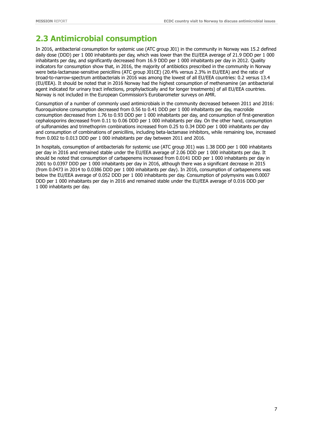# <span id="page-11-0"></span>**2.3 Antimicrobial consumption**

In 2016, antibacterial consumption for systemic use (ATC group J01) in the community in Norway was 15.2 defined daily dose (DDD) per 1 000 inhabitants per day, which was lower than the EU/EEA average of 21.9 DDD per 1 000 inhabitants per day, and significantly decreased from 16.9 DDD per 1 000 inhabitants per day in 2012. Quality indicators for consumption show that, in 2016, the majority of antibiotics prescribed in the community in Norway were beta-lactamase-sensitive penicillins (ATC group J01CE) (20.4% versus 2.3% in EU/EEA) and the ratio of broad-to-narrow-spectrum antibacterials in 2016 was among the lowest of all EU/EEA countries: 0.2 versus 13.4 (EU/EEA). It should be noted that in 2016 Norway had the highest consumption of methenamine (an antibacterial agent indicated for urinary tract infections, prophylactically and for longer treatments) of all EU/EEA countries. Norway is not included in the European Commission's Eurobarometer surveys on AMR.

Consumption of a number of commonly used antimicrobials in the community decreased between 2011 and 2016: fluoroquinolone consumption decreased from 0.56 to 0.41 DDD per 1 000 inhabitants per day, macrolide consumption decreased from 1.76 to 0.93 DDD per 1 000 inhabitants per day, and consumption of first-generation cephalosporins decreased from 0.11 to 0.06 DDD per 1 000 inhabitants per day. On the other hand, consumption of sulfonamides and trimethoprim combinations increased from 0.25 to 0.34 DDD per 1 000 inhabitants per day and consumption of combinations of penicillins, including beta-lactamase inhibitors, while remaining low, increased from 0.002 to 0.013 DDD per 1 000 inhabitants per day between 2011 and 2016.

In hospitals, consumption of antibacterials for systemic use (ATC group J01) was 1.38 DDD per 1 000 inhabitants per day in 2016 and remained stable under the EU/EEA average of 2.06 DDD per 1 000 inhabitants per day. It should be noted that consumption of carbapenems increased from 0.0141 DDD per 1 000 inhabitants per day in 2001 to 0.0397 DDD per 1 000 inhabitants per day in 2016, although there was a significant decrease in 2015 (from 0.0473 in 2014 to 0.0386 DDD per 1 000 inhabitants per day). In 2016, consumption of carbapenems was below the EU/EEA average of 0.052 DDD per 1 000 inhabitants per day. Consumption of polymyxins was 0.0007 DDD per 1 000 inhabitants per day in 2016 and remained stable under the EU/EEA average of 0.016 DDD per 1 000 inhabitants per day.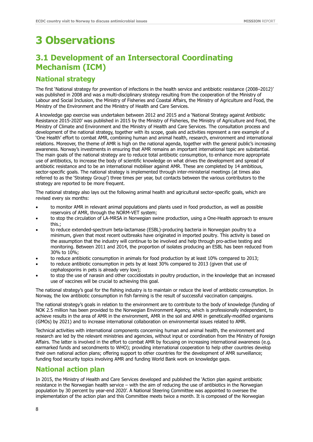# <span id="page-12-0"></span>**3 Observations**

# <span id="page-12-1"></span>**3.1 Development of an Intersectoral Coordinating Mechanism (ICM)**

### **National strategy**

The first 'National strategy for prevention of infections in the health service and antibiotic resistance (2008–2012)' was published in 2008 and was a multi-disciplinary strategy resulting from the cooperation of the Ministry of Labour and Social Inclusion, the Ministry of Fisheries and Coastal Affairs, the Ministry of Agriculture and Food, the Ministry of the Environment and the Ministry of Health and Care Services.

A knowledge gap exercise was undertaken between 2012 and 2015 and a 'National Strategy against Antibiotic Resistance 2015-2020' was published in 2015 by the Ministry of Fisheries, the Ministry of Agriculture and Food, the Ministry of Climate and Environment and the Ministry of Health and Care Services. The consultation process and development of the national strategy, together with its scope, goals and activities represent a rare example of a 'One Health' effort to combat AMR, combining human and animal health, research, environment and international relations. Moreover, the theme of AMR is high on the national agenda, together with the general public's increasing awareness. Norway's investments in ensuring that AMR remains an important international topic are substantial. The main goals of the national strategy are to reduce total antibiotic consumption, to enhance more appropriate use of antibiotics, to increase the body of scientific knowledge on what drives the development and spread of antibiotic resistance and to be an international mobiliser against AMR. These are completed by 14 ambitious, sector-specific goals. The national strategy is implemented through inter-ministerial meetings (at times also referred to as the 'Strategy Group') three times per year, but contacts between the various contributors to the strategy are reported to be more frequent.

The national strategy also lays out the following animal health and agricultural sector-specific goals, which are revised every six months:

- to monitor AMR in relevant animal populations and plants used in food production, as well as possible reservoirs of AMR, through the NORM-VET system;
- to stop the circulation of LA-MRSA in Norwegian swine production, using a One-Health approach to ensure this.;
- to reduce extended-spectrum beta-lactamase (ESBL)-producing bacteria in Norwegian poultry to a minimum, given that most recent outbreaks have originated in imported poultry. This activity is based on the assumption that the industry will continue to be involved and help through pro-active testing and monitoring. Between 2011 and 2014, the proportion of isolates producing an ESBL has been reduced from 30% to 10%;
- to reduce antibiotic consumption in animals for food production by at least 10% compared to 2013;
- to reduce antibiotic consumption in pets by at least 30% compared to 2013 (given that use of cephalosporins in pets is already very low);
- to stop the use of narasin and other coccidiostats in poultry production, in the knowledge that an increased use of vaccines will be crucial to achieving this goal.

The national strategy's goal for the fishing industry is to maintain or reduce the level of antibiotic consumption. In Norway, the low antibiotic consumption in fish farming is the result of successful vaccination campaigns.

The national strategy's goals in relation to the environment are to contribute to the body of knowledge (funding of NOK 2.5 million has been provided to the Norwegian Environment Agency, which is professionally independent, to achieve results in the area of AMR in the environment, AMR in the soil and AMR in genetically-modified organisms (GMOs) by 2021) and to increase international collaboration on environmental issues related to AMR.

Technical activities with international components concerning human and animal health, the environment and research are led by the relevant ministries and agencies, without input or coordination from the Ministry of Foreign Affairs. The latter is involved in the effort to combat AMR by focusing on increasing international awareness (e.g. earmarked funds and secondments to WHO); providing international cooperation to help other countries develop their own national action plans; offering support to other countries for the development of AMR surveillance; funding food security topics involving AMR and funding World Bank work on knowledge gaps.

## **National action plan**

In 2015, the Ministry of Health and Care Services developed and published the 'Action plan against antibiotic resistance in the Norwegian health service – with the aim of reducing the use of antibiotics in the Norwegian population by 30 percent by year-end 2020'. A National Steering Committee was appointed to oversee the implementation of the action plan and this Committee meets twice a month. It is composed of the Norwegian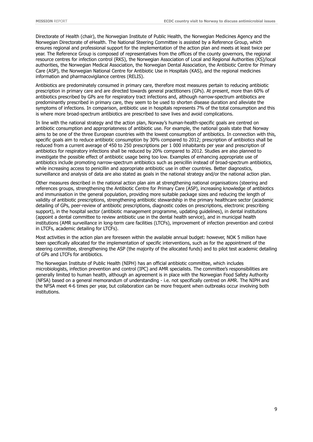Directorate of Health (chair), the Norwegian Institute of Public Health, the Norwegian Medicines Agency and the Norwegian Directorate of eHealth. The National Steering Committee is assisted by a Reference Group, which ensures regional and professional support for the implementation of the action plan and meets at least twice per year. The Reference Group is composed of representatives from the offices of the county governors, the regional resource centres for infection control (RKS), the Norwegian Association of Local and Regional Authorities (KS)/local authorities, the Norwegian Medical Association, the Norwegian Dental Association, the Antibiotic Centre for Primary Care (ASP), the Norwegian National Centre for Antibiotic Use in Hospitals (KAS), and the regional medicines information and pharmacovigilance centres (RELIS).

Antibiotics are predominately consumed in primary care, therefore most measures pertain to reducing antibiotic prescription in primary care and are directed towards general practitioners (GPs). At present, more than 60% of antibiotics prescribed by GPs are for respiratory tract infections and, although narrow-spectrum antibiotics are predominantly prescribed in primary care, they seem to be used to shorten disease duration and alleviate the symptoms of infections. In comparison, antibiotic use in hospitals represents 7% of the total consumption and this is where more broad-spectrum antibiotics are prescribed to save lives and avoid complications.

In line with the national strategy and the action plan, Norway's human-health-specific goals are centred on antibiotic consumption and appropriateness of antibiotic use. For example, the national goals state that Norway aims to be one of the three European countries with the lowest consumption of antibiotics. In connection with this, specific goals aim to reduce antibiotic consumption by 30% compared to 2012; prescription of antibiotics shall be reduced from a current average of 450 to 250 prescriptions per 1 000 inhabitants per year and prescription of antibiotics for respiratory infections shall be reduced by 20% compared to 2012. Studies are also planned to investigate the possible effect of antibiotic usage being too low. Examples of enhancing appropriate use of antibiotics include promoting narrow-spectrum antibiotics such as penicillin instead of broad-spectrum antibiotics, while increasing access to penicillin and appropriate antibiotic use in other countries. Better diagnostics, surveillance and analysis of data are also stated as goals in the national strategy and/or the national action plan.

Other measures described in the national action plan aim at strengthening national organisations (steering and references groups, strengthening the Antibiotic Centre for Primary Care (ASP), increasing knowledge of antibiotics and immunisation in the general population, providing more suitable package sizes and reducing the length of validity of antibiotic prescriptions, strengthening antibiotic stewardship in the primary healthcare sector (academic detailing of GPs, peer-review of antibiotic prescriptions, diagnostic codes on prescriptions, electronic prescribing support), in the hospital sector (antibiotic management programme, updating guidelines), in dental institutions (appoint a dental committee to review antibiotic use in the dental health service), and in municipal health institutions (AMR surveillance in long-term care facilities (LTCFs), improvement of infection prevention and control in LTCFs, academic detailing for LTCFs).

Most activities in the action plan are foreseen within the available annual budget: however, NOK 5 million have been specifically allocated for the implementation of specific interventions, such as for the appointment of the steering committee, strengthening the ASP (the majority of the allocated funds) and to pilot test academic detailing of GPs and LTCFs for antibiotics.

The Norwegian Institute of Public Health (NIPH) has an official antibiotic committee, which includes microbiologists, infection prevention and control (IPC) and AMR specialists. The committee's responsibilities are generally limited to human health, although an agreement is in place with the Norwegian Food Safety Authority (NFSA) based on a general memorandum of understanding - i.e. not specifically centred on AMR. The NIPH and the NFSA meet 4-6 times per year, but collaboration can be more frequent when outbreaks occur involving both institutions.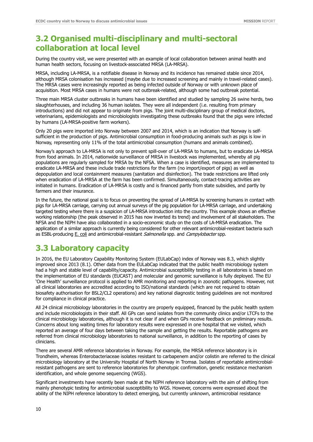# <span id="page-14-0"></span>**3.2 Organised multi-disciplinary and multi-sectoral collaboration at local level**

During the country visit, we were presented with an example of local collaboration between animal health and human health sectors, focusing on livestock-associated MRSA (LA-MRSA).

MRSA, including LA-MRSA, is a notifiable disease in Norway and its incidence has remained stable since 2014, although MRSA colonisation has increased (maybe due to increased screening and mainly in travel-related cases). The MRSA cases were increasingly reported as being infected outside of Norway or with unknown place of acquisition. Most MRSA cases in humans were not outbreak-related, although some had outbreak potential.

Three main MRSA cluster outbreaks in humans have been identified and studied by sampling 26 swine herds, two slaughterhouses, and including 36 human isolates. They were all independent (i.e. resulting from primary introductions) and did not appear to originate from pigs. The joint multi-disciplinary group of medical doctors, veterinarians, epidemiologists and microbiologists investigating these outbreaks found that the pigs were infected by humans (LA-MRSA-positive farm workers).

Only 20 pigs were imported into Norway between 2007 and 2014, which is an indication that Norway is selfsufficient in the production of pigs. Antimicrobial consumption in food-producing animals such as pigs is low in Norway, representing only 11% of the total antimicrobial consumption (humans and animals combined).

Norway's approach to LA-MRSA is not only to prevent spill-over of LA-MRSA to humans, but to eradicate LA-MRSA from food animals. In 2014, nationwide surveillance of MRSA in livestock was implemented, whereby all pig populations are regularly sampled for MRSA by the NFSA. When a case is identified, measures are implemented to eradicate LA-MRSA and these include trade restrictions for the farm (no import/export of pigs) as well as depopulation and local containment measures (sanitation and disinfection). The trade restrictions are lifted only when eradication of LA-MRSA at the farm has been confirmed. Simultaneously, contact-tracing activities are initiated in humans. Eradication of LA-MRSA is costly and is financed partly from state subsidies, and partly by farmers and their insurance.

In the future, the national goal is to focus on preventing the spread of LA-MRSA by screening humans in contact with pigs for LA-MRSA carriage, carrying out annual surveys of the pig population for LA-MRSA carriage, and undertaking targeted testing where there is a suspicion of LA-MRSA introduction into the country. This example shows an effective working relationship (the peak observed in 2015 has now inverted its trend) and involvement of all stakeholders. The NFSA and the NIPH have also collaborated in a socio-economic study on the costs of LA-MRSA eradication. The application of a similar approach is currently being considered for other relevant antimicrobial-resistant bacteria such as ESBL-producing E. coli and antimicrobial-resistant *Salmonella* spp. and *Campylobacter* spp.

# <span id="page-14-1"></span>**3.3 Laboratory capacity**

In 2016, the EU Laboratory Capability Monitoring System (EULabCap) index of Norway was 8.3, which slightly improved since 2013 (8.1). Other data from the EULabCap indicated that the public health microbiology system had a high and stable level of capability/capacity. Antimicrobial susceptibility testing in all laboratories is based on the implementation of EU standards (EUCAST) and molecular and genomic surveillance is fully deployed. The EU 'One Health' surveillance protocol is applied to AMR monitoring and reporting in zoonotic pathogens. However, not all clinical laboratories are accredited according to ISO/national standards (which are not required to obtain biosafety authorisation for BSL2/CL2 operations) and key national diagnostic testing guidelines are not monitored for compliance in clinical practice.

All 24 clinical microbiology laboratories in the country are properly equipped, financed by the public health system and include microbiologists in their staff. All GPs can send isolates from the community clinics and/or LTCFs to the clinical microbiology laboratories, although it is not clear if and when GPs receive feedback on preliminary results. Concerns about long waiting times for laboratory results were expressed in one hospital that we visited, which reported an average of four days between taking the sample and getting the results. Reportable pathogens are referred from clinical microbiology laboratories to national surveillance, in addition to the reporting of cases by clinicians.

There are several AMR reference laboratories in Norway. For example, the MRSA reference laboratory is in Trondheim, whereas Enterobacteriaceae isolates resistant to carbapenem and/or colistin are referred to the clinical microbiology laboratory at the University Hospital of North Norway in Tromsø. Isolates of reportable antimicrobialresistant pathogens are sent to reference laboratories for phenotypic confirmation, genetic resistance mechanism identification, and whole genome sequencing (WGS).

Significant investments have recently been made at the NIPH reference laboratory with the aim of shifting from mainly phenotypic testing for antimicrobial susceptibility to WGS. However, concerns were expressed about the ability of the NIPH reference laboratory to detect emerging, but currently unknown, antimicrobial resistance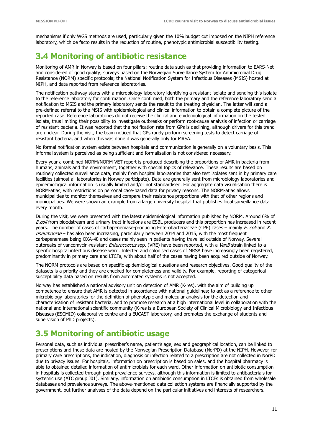mechanisms if only WGS methods are used, particularly given the 10% budget cut imposed on the NIPH reference laboratory, which de facto results in the reduction of routine, phenotypic antimicrobial susceptibility testing.

# <span id="page-15-0"></span>**3.4 Monitoring of antibiotic resistance**

Monitoring of AMR in Norway is based on four pillars: routine data such as that providing information to EARS-Net and considered of good quality; surveys based on the Norwegian Surveillance System for Antimicrobial Drug Resistance (NORM) specific protocols; the National Notification System for Infectious Diseases (MSIS) hosted at NIPH, and data reported from reference laboratories.

The notification pathway starts with a microbiology laboratory identifying a resistant isolate and sending this isolate to the reference laboratory for confirmation. Once confirmed, both the primary and the reference laboratory send a notification to MSIS and the primary laboratory sends the result to the treating physician. The latter will send a pre-defined referral to the MSIS with epidemiological and clinical information to obtain a complete picture of the reported case. Reference laboratories do not receive the clinical and epidemiological information on the tested isolate, thus limiting their possibility to investigate outbreaks or perform root-cause analysis of infection or carriage of resistant bacteria. It was reported that the notification rate from GPs is declining, although drivers for this trend are unclear. During the visit, the team noticed that GPs rarely perform screening tests to detect carriage of resistant bacteria, and when this was done it was generally only for MRSA.

No formal notification system exists between hospitals and communication is generally on a voluntary basis. This informal system is perceived as being sufficient and formalisation is not considered necessary.

Every year a combined NORM/NORM-VET report is produced describing the proportions of AMR in bacteria from humans, animals and the environment, together with special topics of relevance. These results are based on routinely collected surveillance data, mainly from hospital laboratories that also test isolates sent in by primary care facilities (almost all laboratories in Norway participate). Data are generally sent from microbiology laboratories and epidemiological information is usually limited and/or not standardised. For aggregate data visualisation there is NORM-atlas, with restrictions on personal case-based data for privacy reasons. The NORM-atlas allows municipalities to monitor themselves and compare their resistance proportions with that of other regions and municipalities. We were shown an example from a large university hospital that publishes local surveillance data every month.

During the visit, we were presented with the latest epidemiological information published by NORM. Around 6% of E.coli from bloodstream and urinary tract infections are ESBL producers and this proportion has increased in recent years. The number of cases of carbapenemase-producing Enterobacteriaceae (CPE) cases – mainly E. coli and K. pneumoniae - has also been increasing, particularly between 2014 and 2015, with the most frequent carbapenemase being OXA-48 and cases mainly seen in patients having travelled outside of Norway. Several outbreaks of vancomycin-resistant Enterococcus spp. (VRE) have been reported, with a VanB strain linked to a specific hospital infectious disease ward. Infected and colonised cases of MRSA have increasingly been registered, predominantly in primary care and LTCFs, with about half of the cases having been acquired outside of Norway.

The NORM protocols are based on specific epidemiological questions and research objectives. Good quality of the datasets is a priority and they are checked for completeness and validity. For example, reporting of categorical susceptibility data based on results from automated systems is not accepted.

Norway has established a national advisory unit on detection of AMR (K-res), with the aim of building up competence to ensure that AMR is detected in accordance with national guidelines; to act as a reference to other microbiology laboratories for the definition of phenotypic and molecular analysis for the detection and characterisation of resistant bacteria, and to promote research at a high international level in collaboration with the national and international scientific community (K-res is a European Society of Clinical Microbiology and Infectious Diseases (ESCMID) collaborative centre and a EUCAST laboratory, and promotes the exchange of students and supervision of PhD projects).

# <span id="page-15-1"></span>**3.5 Monitoring of antibiotic usage**

Personal data, such as individual prescriber's name, patient's age, sex and geographical location, can be linked to prescriptions and these data are hosted by the Norwegian Prescription Database (NorPD) at the NIPH. However, for primary care prescriptions, the indication, diagnosis or infection related to a prescription are not collected in NorPD due to privacy issues. For hospitals, information on prescription is based on sales, and the hospital pharmacy is able to obtained detailed information of antimicrobials for each ward. Other information on antibiotic consumption in hospitals is collected through point prevalence surveys, although this information is limited to antibacterials for systemic use (ATC group J01). Similarly, information on antibiotic consumption in LTCFs is obtained from wholesale databases and prevalence surveys. The above-mentioned data collection systems are financially supported by the government, but further analyses of the data depend on the particular initiatives and interests of researchers.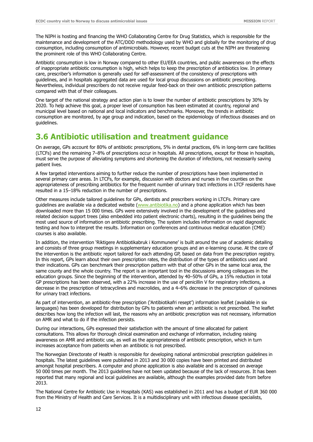The NIPH is hosting and financing the WHO Collaborating Centre for Drug Statistics, which is responsible for the maintenance and development of the ATC/DDD methodology used by WHO and globally for the monitoring of drug consumption, including consumption of antimicrobials. However, recent budget cuts at the NIPH are threatening the prominent role of this WHO Collaborating Centre.

Antibiotic consumption is low in Norway compared to other EU/EEA countries, and public awareness on the effects of inappropriate antibiotic consumption is high, which helps to keep the prescription of antibiotics low. In primary care, prescriber's information is generally used for self-assessment of the consistency of prescriptions with guidelines, and in hospitals aggregated data are used for local group discussions on antibiotic prescribing. Nevertheless, individual prescribers do not receive regular feed-back on their own antibiotic prescription patterns compared with that of their colleagues.

One target of the national strategy and action plan is to lower the number of antibiotic prescriptions by 30% by 2020. To help achieve this goal, a proper level of consumption has been estimated at country, regional and municipal level based on national and local indicators and benchmarks. Moreover, the trends in antibiotic consumption are monitored, by age group and indication, based on the epidemiology of infectious diseases and on guidelines.

# <span id="page-16-0"></span>**3.6 Antibiotic utilisation and treatment guidance**

On average, GPs account for 80% of antibiotic prescriptions, 5% in dental practices, 6% in long-term care facilities (LTCFs) and the remaining 7–8% of prescriptions occur in hospitals. All prescriptions, except for those in hospitals, must serve the purpose of alleviating symptoms and shortening the duration of infections, not necessarily saving patient lives.

A few targeted interventions aiming to further reduce the number of prescriptions have been implemented in several primary care areas. In LTCFs, for example, discussion with doctors and nurses in five counties on the appropriateness of prescribing antibiotics for the frequent number of urinary tract infections in LTCF residents have resulted in a 15–18% reduction in the number of prescriptions.

Other measures include tailored guidelines for GPs, dentists and prescribers working in LTCFs. Primary care guidelines are available via a dedicated website [\(www.antibiotika.no\)](http://www.antibiotika.no/) and a phone application which has been downloaded more than 15 000 times. GPs were extensively involved in the development of the guidelines and related decision support trees (also embedded into patient electronic charts), resulting in the guidelines being the most used source of information on antibiotic prescribing. The system includes information on rapid diagnostic testing and how to interpret the results. Information on conferences and continuous medical education (CME) courses is also available.

In addition, the intervention 'Riktigere Antibiotikabruk i Kommunene' is built around the use of academic detailing and consists of three group meetings in supplementary education groups and an e-learning course. At the core of the intervention is the antibiotic report tailored for each attending GP, based on data from the prescription registry. In this report, GPs learn about their own prescription rates, the distribution of the types of antibiotics used and their indications. GPs can benchmark their prescription pattern with that of other GPs in the same local area, the same county and the whole country. The report is an important tool in the discussions among colleagues in the education groups. Since the beginning of the intervention, attended by 40–50% of GPs, a 15% reduction in total GP prescriptions has been observed, with a 22% increase in the use of penicillin V for respiratory infections, a decrease in the prescription of tetracyclines and macrolides, and a 4–6% decrease in the prescription of quinolones for urinary tract infections.

As part of intervention, an antibiotic-free prescription ('Antibiotikafri resept') information leaflet (available in six languages) has been developed for distribution by GPs to patients when an antibiotic is not prescribed. The leaflet describes how long the infection will last, the reasons why an antibiotic prescription was not necessary, information on AMR and what to do if the infection persists.

During our interactions, GPs expressed their satisfaction with the amount of time allocated for patient consultations. This allows for thorough clinical examination and exchange of information, including raising awareness on AMR and antibiotic use, as well as the appropriateness of antibiotic prescription, which in turn increases acceptance from patients when an antibiotic is not prescribed.

The Norwegian Directorate of Health is responsible for developing national antimicrobial prescription guidelines in hospitals. The latest guidelines were published in 2013 and 30 000 copies have been printed and distributed amongst hospital prescribers. A computer and phone application is also available and is accessed on average 50 000 times per month. The 2013 guidelines have not been updated because of the lack of resources. It has been reported that many regional and local guidelines are available, although the examples provided date from before 2013.

The National Centre for Antibiotic Use in Hospitals (KAS) was established in 2011 and has a budget of EUR 360 000 from the Ministry of Health and Care Services. It is a multidisciplinary unit with infectious disease specialists,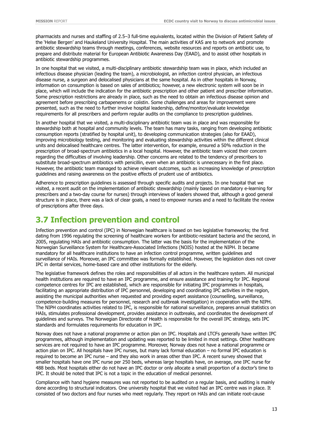pharmacists and nurses and staffing of 2.5–3 full-time equivalents, located within the Division of Patient Safety of the 'Helse Bergen' and Haukeland University Hospital. The main activities of KAS are to network and promote antibiotic stewardship teams through meetings, conferences, website resources and reports on antibiotic use, to prepare and distribute material for European Antibiotic Awareness Day (EAAD), and to assist other hospitals in antibiotic stewardship programmes.

In one hospital that we visited, a multi-disciplinary antibiotic stewardship team was in place, which included an infectious disease physician (leading the team), a microbiologist, an infection control physician, an infectious disease nurse, a surgeon and delocalised physicians at the same hospital. As in other hospitals in Norway, information on consumption is based on sales of antibiotics; however, a new electronic system will soon be in place, which will include the indication for the antibiotic prescription and other patient and prescriber information. Some prescription restrictions are already in place, such as the need to obtain an infectious disease opinion and agreement before prescribing carbapenems or colistin. Some challenges and areas for improvement were presented, such as the need to further involve hospital leadership, define/monitor/evaluate knowledge requirements for all prescribers and perform regular audits on the compliance to prescription guidelines.

In another hospital that we visited, a multi-disciplinary antibiotic team was in place and was responsible for stewardship both at hospital and community levels. The team has many tasks, ranging from developing antibiotic consumption reports (stratified by hospital unit), to developing communication strategies (also for EAAD), improving microbiology testing, and monitoring and evaluating stewardship activities within the different clinical units and delocalised healthcare centres. The latter intervention, for example, ensured a 50% reduction in the prescription of broad-spectrum antibiotics in a local hospital. However, the antibiotic team voiced their concern regarding the difficulties of involving leadership. Other concerns are related to the tendency of prescribers to substitute broad-spectrum antibiotics with penicillin, even when an antibiotic is unnecessary in the first place. However, the antibiotic team managed to achieve relevant outcomes, such as increasing knowledge of prescription guidelines and raising awareness on the positive effects of prudent use of antibiotics.

Adherence to prescription guidelines is assessed through specific audits and projects. In one hospital that we visited, a recent audit on the implementation of antibiotic stewardship (mainly based on mandatory e-learning for prescribers and a two-day course for nurses) through interviews of leaders showed that, although a good general structure is in place, there was a lack of clear goals, a need to empower nurses and a need to facilitate the review of prescriptions after three days.

# <span id="page-17-0"></span>**3.7 Infection prevention and control**

Infection prevention and control (IPC) in Norwegian healthcare is based on two legislative frameworks; the first dating from 1996 regulating the screening of healthcare workers for antibiotic-resistant bacteria and the second, in 2005, regulating HAIs and antibiotic consumption. The latter was the basis for the implementation of the Norwegian Surveillance System for Healthcare-Associated Infections (NOIS) hosted at the NIPH. It became mandatory for all healthcare institutions to have an infection control programme, written guidelines and surveillance of HAIs. Moreover, an IPC committee was formally established. However, the legislation does not cover IPC in dental services, home-based care and other institutions for the elderly.

The legislative framework defines the roles and responsibilities of all actors in the healthcare system. All municipal health institutions are required to have an IPC programme, and ensure assistance and training for IPC. Regional competence centres for IPC are established, which are responsible for initiating IPC programmes in hospitals, facilitating an appropriate distribution of IPC personnel, developing and coordinating IPC activities in the region, assisting the municipal authorities when requested and providing expert assistance (counselling, surveillance, competence-building measures for personnel, research and outbreak investigation) in cooperation with the NIPH. The NIPH coordinates activities related to IPC, is responsible for national surveillance, prepares annual statistics on HAIs, stimulates professional development, provides assistance in outbreaks, and coordinates the development of guidelines and surveys. The Norwegian Directorate of Health is responsible for the overall IPC strategy, sets IPC standards and formulates requirements for education in IPC.

Norway does not have a national programme or action plan on IPC. Hospitals and LTCFs generally have written IPC programmes, although implementation and updating was reported to be limited in most settings. Other healthcare services are not required to have an IPC programme. Moreover, Norway does not have a national programme or action plan on IPC. All hospitals have IPC nurses, but many lack formal education – no formal IPC education is required to become an IPC nurse – and they also work in areas other than IPC. A recent survey showed that smaller hospitals have one IPC nurse per 250 beds, whereas large hospitals have, on average, one IPC nurse for 488 beds. Most hospitals either do not have an IPC doctor or only allocate a small proportion of a doctor's time to IPC. It should be noted that IPC is not a topic in the education of medical personnel.

Compliance with hand hygiene measures was not reported to be audited on a regular basis, and auditing is mainly done according to structural indicators. One university hospital that we visited had an IPC centre was in place. It consisted of two doctors and four nurses who meet regularly. They report on HAIs and can initiate root-cause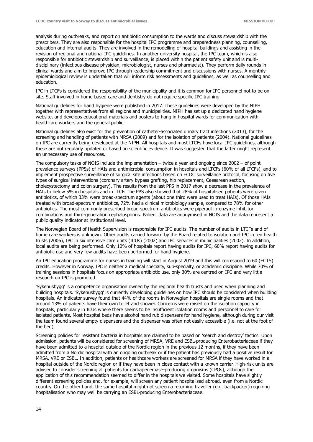analysis during outbreaks, and report on antibiotic consumption to the wards and discuss stewardship with the prescribers. They are also responsible for the hospital IPC programme and preparedness planning, counselling, education and internal audits. They are involved in the remodelling of hospital buildings and assisting in the revision of regional and national IPC guidelines. In another university hospital, the IPC team, which is also responsible for antibiotic stewardship and surveillance, is placed within the patient safety unit and is multidisciplinary (infectious disease physician, microbiologist, nurses and pharmacist). They perform daily rounds in clinical wards and aim to improve IPC through leadership commitment and discussions with nurses. A monthly epidemiological review is undertaken that will inform risk assessments and guidelines, as well as counselling and education.

IPC in LTCFs is considered the responsibility of the municipality and it is common for IPC personnel not to be on site. Staff involved in home-based care and dentistry do not require specific IPC training.

National guidelines for hand hygiene were published in 2017. These guidelines were developed by the NIPH together with representatives from all regions and municipalities. NIPH has set up a dedicated hand hygiene website, and develops educational materials and posters to hang in hospital wards for communication with healthcare workers and the general public.

National guidelines also exist for the prevention of catheter-associated urinary tract infections (2013), for the screening and handling of patients with MRSA (2009) and for the isolation of patients (2004). National guidelines on IPC are currently being developed at the NIPH. All hospitals and most LTCFs have local IPC guidelines, although these are not regularly updated or based on scientific evidence. It was suggested that the latter might represent an unnecessary use of resources.

The compulsory tasks of NOIS include the implementation – twice a year and ongoing since 2002 – of point prevalence surveys (PPSs) of HAIs and antimicrobial consumption in hospitals and LTCFs (60% of all LTCFs), and to implement prospective surveillance of surgical site infections based on ECDC surveillance protocol, focusing on five types of surgical interventions (coronary artery bypass grafting, hip replacement, Caesarean section, cholecystectomy and colon surgery). The results from the last PPS in 2017 show a decrease in the prevalence of HAIs to below 5% in hospitals and in LTCF. The PPS also showed that 28% of hospitalised patients were given antibiotics, of which 33% were broad-spectrum agents (about one third were used to treat HAIs). Of those HAIs treated with broad-spectrum antibiotics, 72% had a clinical microbiology sample, compared to 78% for other antibiotics. The most commonly prescribed broad-spectrum antibiotics were piperacillin-enzyme inhibitor combinations and third-generation cephalosporins. Patient data are anonymised in NOIS and the data represent a public quality indicator at institutional level.

The Norwegian Board of Health Supervision is responsible for IPC audits. The number of audits in LTCFs and of home care workers is unknown. Other audits carried forward by the Board related to isolation and IPC in ten health trusts (2006), IPC in six intensive care units (ICUs) (2002) and IPC services in municipalities (2002). In addition, local audits are being performed. Only 10% of hospitals report having audits for IPC, 60% report having audits for antibiotic use and very few audits have been performed for hand hygiene.

An IPC education programme for nurses in training will start in August 2019 and this will correspond to 60 (ECTS) credits. However in Norway, IPC is neither a medical specialty, sub-specialty, or academic discipline. While 70% of training sessions in hospitals focus on appropriate antibiotic use, only 30% are centred on IPC and very little research on IPC is promoted.

'Sykehusbygg' is a competence organisation owned by the regional health trusts and used when planning and building hospitals. 'Sykehusbygg' is currently developing guidelines on how IPC should be considered when building hospitals. An indicator survey found that 44% of the rooms in Norwegian hospitals are single rooms and that around 13% of patients have their own toilet and shower. Concerns were raised on the isolation capacity in hospitals, particularly in ICUs where there seems to be insufficient isolation rooms and personnel to care for isolated patients. Most hospital beds have alcohol hand rub dispensers for hand hygiene, although during our visit the team found several empty dispensers and the dispenser was often not easily accessible (i.e. not at the foot of the bed).

Screening policies for resistant bacteria in hospitals are claimed to be based on 'search and destroy' tactics. Upon admission, patients will be considered for screening of MRSA, VRE and ESBL-producing Enterobacteriaceae if they have been admitted to a hospital outside of the Nordic region in the previous 12 months, if they have been admitted from a Nordic hospital with an ongoing outbreak or if the patient has previously had a positive result for MRSA, VRE or ESBL. In addition, patients or healthcare workers are screened for MRSA if they have worked in a hospital outside of the Nordic region or if they have been in close contact with a known carrier. High-risk units are advised to consider screening all patients for carbapenemase-producing organisms (CPOs), although the application of this recommendation seemed to differ in the hospitals we visited. Some hospitals have slightly different screening policies and, for example, will screen any patient hospitalised abroad, even from a Nordic country. On the other hand, the same hospital might not screen a returning traveller (e.g. backpacker) requiring hospitalisation who may well be carrying an ESBL-producing Enterobacteriaceae.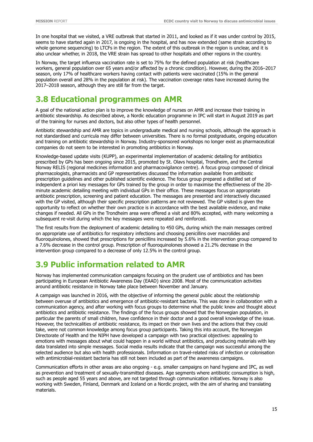In one hospital that we visited, a VRE outbreak that started in 2011, and looked as if it was under control by 2015, seems to have started again in 2017, is ongoing in the hospital, and has now extended (same strain according to whole genome sequencing) to LTCFs in the region. The extent of this outbreak in the region is unclear, and it is also unclear whether, in 2018, the VRE strain has spread to other hospitals and other regions in the country.

In Norway, the target influenza vaccination rate is set to 75% for the defined population at risk (healthcare workers, general population over 65 years and/or affected by a chronic condition). However, during the 2016–2017 season, only 17% of healthcare workers having contact with patients were vaccinated (15% in the general population overall and 28% in the population at risk). The vaccination coverage rates have increased during the 2017–2018 season, although they are still far from the target.

# <span id="page-19-0"></span>**3.8 Educational programmes on AMR**

A goal of the national action plan is to improve the knowledge of nurses on AMR and increase their training in antibiotic stewardship. As described above, a Nordic education programme in IPC will start in August 2019 as part of the training for nurses and doctors, but also other types of health personnel.

Antibiotic stewardship and AMR are topics in undergraduate medical and nursing schools, although the approach is not standardised and curricula may differ between universities. There is no formal postgraduate, ongoing education and training on antibiotic stewardship in Norway. Industry-sponsored workshops no longer exist as pharmaceutical companies do not seem to be interested in promoting antibiotics in Norway.

Knowledge-based update visits (KUPP), an experimental implementation of academic detailing for antibiotics prescribed by GPs has been ongoing since 2015, promoted by St. Olavs hospital, Trondheim, and the Central Norway RELIS (regional medicines information and pharmacovigilance centre). A focus group composed of clinical pharmacologists, pharmacists and GP representatives discussed the information available from antibiotic prescription guidelines and other published scientific evidence. The focus group prepared a distilled set of independent a priori key messages for GPs trained by the group in order to maximise the effectiveness of the 20 minute academic detailing meeting with individual GPs in their office. These messages focus on appropriate antibiotic prescription, screening and patient education. The messages are presented and interactively discussed with the GP visited, although their specific prescription patterns are not reviewed. The GP visited is given the opportunity to reflect on whether their own practice is in accordance with the best available evidence, and make changes if needed. All GPs in the Trondheim area were offered a visit and 80% accepted, with many welcoming a subsequent re-visit during which the key messages were repeated and reinforced.

The first results from the deployment of academic detailing to 450 GPs, during which the main messages centred on appropriate use of antibiotics for respiratory infections and choosing penicillins over macrolides and fluoroquinolones, showed that prescriptions for penicillins increased by 5.6% in the intervention group compared to a 7.6% decrease in the control group. Prescription of fluoroquinolones showed a 21.2% decrease in the intervention group compared to a decrease of only 12.5% in the control group.

# <span id="page-19-1"></span>**3.9 Public information related to AMR**

Norway has implemented communication campaigns focusing on the prudent use of antibiotics and has been participating in European Antibiotic Awareness Day (EAAD) since 2008. Most of the communication activities around antibiotic resistance in Norway take place between November and January.

A campaign was launched in 2016, with the objective of informing the general public about the relationship between overuse of antibiotics and emergence of antibiotic-resistant bacteria. This was done in collaboration with a communication agency, and after working with focus groups to determine what the public knew and thought about antibiotics and antibiotic resistance. The findings of the focus groups showed that the Norwegian population, in particular the parents of small children, have confidence in their doctor and a good overall knowledge of the issue. However, the technicalities of antibiotic resistance, its impact on their own lives and the actions that they could take, were not common knowledge among focus group participants. Taking this into account, the Norwegian Directorate of Health and the NIPH have developed a campaign with two practical objectives: appealing to emotions with messages about what could happen in a world without antibiotics, and producing materials with key data translated into simple messages. Social media results indicate that the campaign was successful among the selected audience but also with health professionals. Information on travel-related risks of infection or colonisation with antimicrobial-resistant bacteria has still not been included as part of the awareness campaigns.

Communication efforts in other areas are also ongoing - e.g. smaller campaigns on hand hygiene and IPC, as well as prevention and treatment of sexually-transmitted diseases. Age segments where antibiotic consumption is high, such as people aged 55 years and above, are not targeted through communication initiatives. Norway is also working with Sweden, Finland, Denmark and Iceland on a Nordic project, with the aim of sharing and translating materials.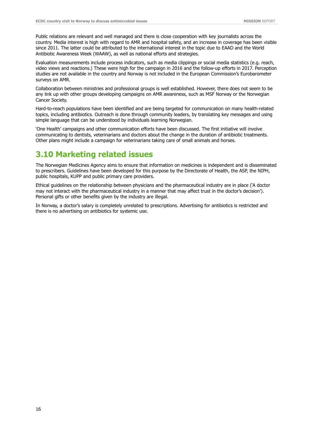Public relations are relevant and well managed and there is close cooperation with key journalists across the country. Media interest is high with regard to AMR and hospital safety, and an increase in coverage has been visible since 2011. The latter could be attributed to the international interest in the topic due to EAAD and the World Antibiotic Awareness Week (WAAW), as well as national efforts and strategies.

Evaluation measurements include process indicators, such as media clippings or social media statistics (e.g. reach, video views and reactions.) These were high for the campaign in 2016 and the follow-up efforts in 2017. Perception studies are not available in the country and Norway is not included in the European Commission's Eurobarometer surveys on AMR.

Collaboration between ministries and professional groups is well established. However, there does not seem to be any link up with other groups developing campaigns on AMR awareness, such as MSF Norway or the Norwegian Cancer Society.

Hard-to-reach populations have been identified and are being targeted for communication on many health-related topics, including antibiotics. Outreach is done through community leaders, by translating key messages and using simple language that can be understood by individuals learning Norwegian.

'One Health' campaigns and other communication efforts have been discussed. The first initiative will involve communicating to dentists, veterinarians and doctors about the change in the duration of antibiotic treatments. Other plans might include a campaign for veterinarians taking care of small animals and horses.

# <span id="page-20-0"></span>**3.10 Marketing related issues**

The Norwegian Medicines Agency aims to ensure that information on medicines is independent and is disseminated to prescribers. Guidelines have been developed for this purpose by the Directorate of Health, the ASP, the NIPH, public hospitals, KUPP and public primary care providers.

Ethical guidelines on the relationship between physicians and the pharmaceutical industry are in place ('A doctor may not interact with the pharmaceutical industry in a manner that may affect trust in the doctor's decision'). Personal gifts or other benefits given by the industry are illegal.

In Norway, a doctor's salary is completely unrelated to prescriptions. Advertising for antibiotics is restricted and there is no advertising on antibiotics for systemic use.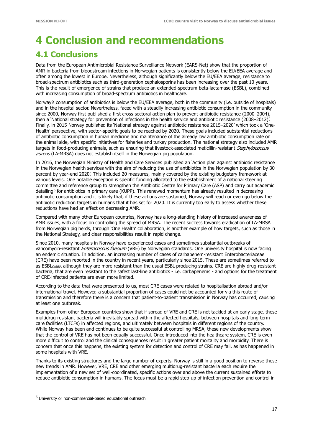# <span id="page-21-0"></span>**4 Conclusion and recommendations**

# <span id="page-21-1"></span>**4.1 Conclusions**

Data from the European Antimicrobial Resistance Surveillance Network (EARS-Net) show that the proportion of AMR in bacteria from bloodstream infections in Norwegian patients is consistently below the EU/EEA average and often among the lowest in Europe. Nevertheless, although significantly below the EU/EEA average, resistance to broad-spectrum antibiotics such as third-generation cephalosporins has been increasing over the past 10 years. This is the result of emergence of strains that produce an extended-spectrum beta-lactamase (ESBL), combined with increasing consumption of broad-spectrum antibiotics in healthcare.

Norway's consumption of antibiotics is below the EU/EEA average, both in the community (i.e. outside of hospitals) and in the hospital sector. Nevertheless, faced with a steadily increasing antibiotic consumption in the community since 2000, Norway first published a first cross-sectoral action plan to prevent antibiotic resistance (2000–2004), then a 'National strategy for prevention of infections in the health service and antibiotic resistance (2008–2012)'. Finally, in 2015 Norway published its 'National strategy against antibiotic resistance 2015–2020' which took a 'One-Health' perspective, with sector-specific goals to be reached by 2020. These goals included substantial reductions of antibiotic consumption in human medicine and maintenance of the already low antibiotic consumption rate on the animal side, with specific initiatives for fisheries and turkey production. The national strategy also included AMR targets in food-producing animals, such as ensuring that livestock-associated meticillin-resistant Staphylococcus aureus (LA-MRSA) does not establish itself in the Norwegian pig population.

In 2016, the Norwegian Ministry of Health and Care Services published an 'Action plan against antibiotic resistance in the Norwegian health services with the aim of reducing the use of antibiotics in the Norwegian population by 30 percent by year-end 2020'. This included 20 measures, mainly covered by the existing budgetary framework at various levels. One notable exception is specific funding allocated to the establishment of a national steering committee and reference group to strengthen the Antibiotic Centre for Primary Care (ASP) and carry out academic detailing<sup>[6](#page-21-2)</sup> for antibiotics in primary care (KUPP). This renewed momentum has already resulted in decreasing antibiotic consumption and it is likely that, if these actions are sustained, Norway will reach or even go below the antibiotic reduction targets in humans that it has set for 2020. It is currently too early to assess whether these reductions have had an effect on decreasing AMR.

Compared with many other European countries, Norway has a long-standing history of increased awareness of AMR issues, with a focus on controlling the spread of MRSA. The recent success towards eradication of LA-MRSA from Norwegian pig herds, through 'One Health' collaboration, is another example of how targets, such as those in the National Strategy, and clear responsibilities result in rapid change.

Since 2010, many hospitals in Norway have experienced cases and sometimes substantial outbreaks of vancomycin-resistant Enterococcus faecium (VRE) by Norwegian standards. One university hospital is now facing an endemic situation. In addition, an increasing number of cases of carbapenem-resistant Enterobacteriaceae (CRE) have been reported in the country in recent years, particularly since 2015. These are sometimes referred to as ESBL<sub>CARBA</sub> although they are more resistant than the usual ESBL-producing strains. CRE are highly drug-resistant bacteria, that are even resistant to the safest last-line antibiotics - i.e. carbapenems - and options for the treatment of CRE-infected patients are even more limited.

According to the data that were presented to us, most CRE cases were related to hospitalisation abroad and/or international travel. However, a substantial proportion of cases could not be accounted for via this route of transmission and therefore there is a concern that patient-to-patient transmission in Norway has occurred, causing at least one outbreak.

Examples from other European countries show that if spread of VRE and CRE is not tackled at an early stage, these multidrug-resistant bacteria will inevitably spread within the affected hospitals, between hospitals and long-term care facilities (LTCFs) in affected regions, and ultimately between hospitals in different regions of the country. While Norway has been and continues to be quite successful at controlling MRSA, these new developments show that the control of VRE has not been equally successful. Once introduced into the healthcare system, CRE is even more difficult to control and the clinical consequences result in greater patient mortality and morbidity. There is concern that once this happens, the existing system for detection and control of CRE may fail, as has happened in some hospitals with VRE.

Thanks to its existing structures and the large number of experts, Norway is still in a good position to reverse these new trends in AMR. However, VRE, CRE and other emerging multidrug-resistant bacteria each require the implementation of a new set of well-coordinated, specific actions over and above the current sustained efforts to reduce antibiotic consumption in humans. The focus must be a rapid step-up of infection prevention and control in

ī

<span id="page-21-2"></span><sup>6</sup> University or non-commercial-based educational outreach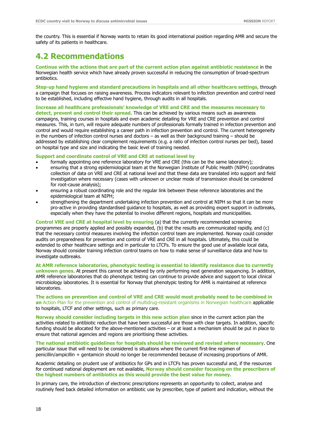the country. This is essential if Norway wants to retain its good international position regarding AMR and secure the safety of its patients in healthcare.

# <span id="page-22-0"></span>**4.2 Recommendations**

**Continue with the actions that are part of the current action plan against antibiotic resistance** in the Norwegian health service which have already proven successful in reducing the consumption of broad-spectrum antibiotics.

**Step-up hand hygiene and standard precautions in hospitals and all other healthcare settings,** through a campaign that focuses on raising awareness. Process indicators relevant to infection prevention and control need to be established, including effective hand hygiene, through audits in all hospitals.

**Increase all healthcare professionals' knowledge of VRE and CRE and the measures necessary to detect, prevent and control their spread**. This can be achieved by various means such as awareness campaigns, training courses in hospitals and even academic detailing for VRE and CRE prevention and control measures. This, in turn, will require adequate numbers of professionals formally trained in infection prevention and control and would require establishing a career path in infection prevention and control. The current heterogeneity in the numbers of infection control nurses and doctors – as well as their background training – should be addressed by establishing clear complement requirements (e.g. a ratio of infection control nurses per bed), based on hospital type and size and indicating the basic level of training needed.

**Support and coordinate control of VRE and CRE at national level by**

- formally appointing one reference laboratory for VRE and CRE (this can be the same laboratory);
- ensuring that a strong epidemiological team at the Norwegian Institute of Public Health (NIPH) coordinates collection of data on VRE and CRE at national level and that these data are translated into support and field investigation where necessary (cases with unknown or unclear mode of transmission should be considered for root-cause analysis);
- ensuring a robust coordinating role and the regular link between these reference laboratories and the epidemiological team at NIPH;
- strengthening the department undertaking infection prevention and control at NIPH so that it can be more pro-active in providing standardised guidance to hospitals, as well as providing expert support in outbreaks, especially when they have the potential to involve different regions, hospitals and municipalities.

**Control VRE and CRE at hospital level by ensuring** (a) that the currently recommended screening programmes are properly applied and possibly expanded, (b) that the results are communicated rapidly, and (c) that the necessary control measures involving the infection control team are implemented. Norway could consider audits on preparedness for prevention and control of VRE and CRE in all hospitals. Ultimately, this could be extended to other healthcare settings and in particular to LTCFs. To ensure the good use of available local data, Norway should consider training infection control teams on how to make sense of surveillance data and how to investigate outbreaks.

**At AMR reference laboratories, phenotypic testing is essential to identify resistance due to currently unknown genes**. At present this cannot be achieved by only performing next generation sequencing. In addition, AMR reference laboratories that do phenotypic testing can continue to provide advice and support to local clinical microbiology laboratories. It is essential for Norway that phenotypic testing for AMR is maintained at reference laboratories.

**The actions on prevention and control of VRE and CRE would most probably need to be combined in an** Action Plan for the prevention and control of multidrug-resistant organisms in Norwegian healthcare applicable to hospitals, LTCF and other settings, such as primary care.

**Norway should consider including targets in this new action plan** since in the current action plan the activities related to antibiotic reduction that have been successful are those with clear targets. In addition, specific funding should be allocated for the above-mentioned activities – or at least a mechanism should be put in place to ensure that national agencies and regions are prioritising these activities.

**The national antibiotic guidelines for hospitals should be reviewed and revised where necessary**. One particular issue that will need to be considered is situations where the current first-line regimen of penicillin/ampicillin + gentamicin should no longer be recommended because of increasing proportions of AMR.

Academic detailing on prudent use of antibiotics for GPs and in LTCFs has proven successful and, if the resources for continued national deployment are not available, **Norway should consider focusing on the prescribers of the highest numbers of antibiotics as this would provide the best value for money**.

In primary care, the introduction of electronic prescriptions represents an opportunity to collect, analyse and routinely feed back detailed information on antibiotic use by prescriber, type of patient and indication, without the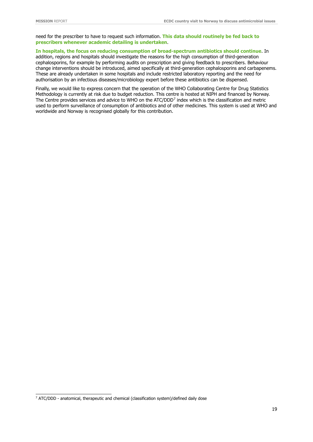need for the prescriber to have to request such information. **This data should routinely be fed back to prescribers whenever academic detailing is undertaken**.

#### **In hospitals, the focus on reducing consumption of broad-spectrum antibiotics should continue**. In

addition, regions and hospitals should investigate the reasons for the high consumption of third-generation cephalosporins, for example by performing audits on prescription and giving feedback to prescribers. Behaviour change interventions should be introduced, aimed specifically at third-generation cephalosporins and carbapenems. These are already undertaken in some hospitals and include restricted laboratory reporting and the need for authorisation by an infectious diseases/microbiology expert before these antibiotics can be dispensed.

Finally, we would like to express concern that the operation of the WHO Collaborating Centre for Drug Statistics Methodology is currently at risk due to budget reduction. This centre is hosted at NIPH and financed by Norway. The Centre provides services and advice to WHO on the ATC/DDD<sup>[7](#page-23-0)</sup> index which is the classification and metric used to perform surveillance of consumption of antibiotics and of other medicines. This system is used at WHO and worldwide and Norway is recognised globally for this contribution.

<span id="page-23-0"></span><sup>&</sup>lt;sup>7</sup> ATC/DDD - anatomical, therapeutic and chemical (classification system)/defined daily dose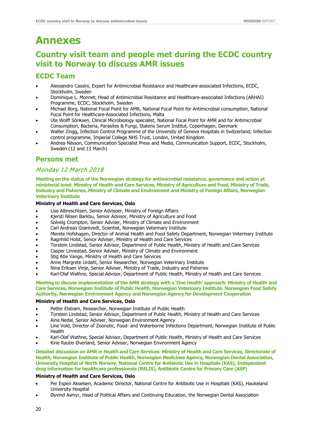# <span id="page-24-0"></span>**Annexes**

# **Country visit team and people met during the ECDC country visit to Norway to discuss AMR issues**

## **ECDC Team**

- Alessandro Cassini, Expert for Antimicrobial Resistance and Healthcare-associated Infections, ECDC, Stockholm, Sweden
- Dominique L. Monnet, Head of Antimicrobial Resistance and Healthcare-associated Infections (ARHAI) Programme, ECDC, Stockholm, Sweden
- Michael Borg, National Focal Point for AMR, National Focal Point for Antimicrobial consumption, National Focal Point for Healthcare-Associated Infections, Malta
- Ute Wolff Sönksen, Clinical Microbiology specialist, National Focal Point for AMR and for Antimicrobial Consumption, Bacteria, Parasites & Fungi, Statens Serum Institut, Copenhagen, Denmark
- Walter Zingg, Infection Control Programme of the University of Geneva Hospitals in Switzerland; Infection control programme, Imperial College NHS Trust, London, United Kingdom
- Andrea Nilsson, Communication Specialist Press and Media, Communication Support, ECDC, Stockholm, Sweden (12 and 13 March)

## **Persons met**

### Monday 12 March 2018

**Meeting on the status of the Norwegian strategy for antimicrobial resistance, governance and action at ministerial level: Ministry of Health and Care Services, Ministry of Agriculture and Food, Ministry of Trade, Industry and Fisheries, Ministry of Climate and Environment and Ministry of Foreign Affairs, Norwegian Veterinary Institute**

#### **Ministry of Health and Care Services, Oslo**

- Lise Albreschtsen, Senior Advisoer, Ministry of Foreign Affairs
- Kjersti Nilsen Barkbu, Senior Advisor, Ministry of Agriculture and Food
- Solveig Crompton, Senior Adviser, Ministry of Climate and Environment
- Carl Andreas Grøntvedt, Scientist, Norwegian Veterinary Institute
- Merete Hofshagen, Director of Animal Health and Food Safety Department, Norwegian Veterinary Institute
- Ragnhild Holst, Senior Adviser, Ministry of Health and Care Services
- Torstein Lindstad, Senior Advisor, Department of Public Health, Ministry of Health and Care Services
- Casper Linnestad, Senior Adviser, Ministry of Climate and Environment
- Stig Atle Vange, Ministry of Health and Care Services
- Anne Margrete Urdahl, Senior Researcher, Norwegian Veterinary Institute
- Nina Eriksen Vinje, Senior Adviser, Ministry of Trade, Industry and Fisheries
- Karl-Olaf Wathne, Special Advisor, Department of Public Health, Ministry of Health and Care Services

#### **Meeting to discuss implementation of the AMR strategy with a 'One Health' approach: Ministry of Health and Care Services, Norwegian Institute of Public Health, Norwegian Veterinary Institute, Norwegian Food Safety Authority, Norwegian Environment Agency and Norwegian Agency for Development Cooperation**

#### **Ministry of Health and Care Services, Oslo**

- Petter Elstrøm, Researcher, Norwegian Institute of Public Health
- Torstein Lindstad, Senior Advisor, Department of Public Health, Ministry of Health and Care Services
- Aina Nedal, Senior Adviser, Norwegian Environment Agency
- Line Vold, Director of Zoonotic, Food- and Waterborne Infections Department, Norwegian Institute of Public Health
- Karl-Olaf Wathne, Special Advisor, Department of Public Health, Ministry of Health and Care Services
- Kine Rautio Øverland, Senior Adviser, Norwegian Environment Agency

**Detailed discussion on AMR in Health and Care Services: Ministry of Health and Care Services, Directorate of Health, Norwegian Institute of Public Health, Norwegian Medicines Agency, Norwegian Dental Association, University Hospital of North Norway, National Centre for Antibiotic Use in Hospitals (KAS), Independent drug information for healthcare professionals (RELIS), Antibiotic Centre for Primary Care (ASP)**

#### **Ministry of Health and Care Services, Oslo**

- Per Espen Akselsen, Academic Director, National Centre for Antibiotic Use in Hospitals (KAS), Haukeland University Hospital
- Øyvind Asmyr, Head of Political Affairs and Continuing Education, the Norwegian Dental Association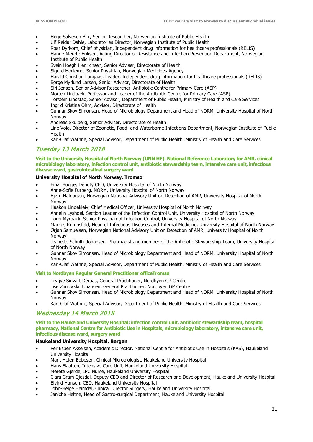- Hege Salvesen Blix, Senior Researcher, Norwegian Institute of Public Health
- Ulf Reidar Dahle, Laboratories Director, Norwegian Institute of Public Health
- Roar Dyrkorn, Chief physician, Independent drug information for healthcare professionals (RELIS)
- Hanne-Merete Eriksen, Acting Director of Resistance and Infection Prevention Department, Norwegian Institute of Public Health
- Svein Hoegh Henrichsen, Senior Adviser, Directorate of Health
- Sigurd Hortemo, Senior Physician, Norwegian Medicines Agency
- Harald Christian Langaas, Leader, Independent drug information for healthcare professionals (RELIS)
- Børge Myrlund Larsen, Senior Advisor, Directorate of Health
- Siri Jensen, Senior Advisor Researcher, Antibiotic Centre for Primary Care (ASP)
- Morten Lindbæk, Professor and Leader of the Antibiotic Centre for Primary Care (ASP)
- Torstein Lindstad, Senior Advisor, Department of Public Health, Ministry of Health and Care Services
- Ingrid Kristine Ohm, Advisor, Directorate of Health
- Gunnar Skov Simonsen, Head of Microbiology Department and Head of NORM, University Hospital of North Norway
- Andreas Skulberg, Senior Adviser, Directorate of Health
- Line Vold, Director of Zoonotic, Food- and Waterborne Infections Department, Norwegian Institute of Public Health
- Karl-Olaf Wathne, Special Advisor, Department of Public Health, Ministry of Health and Care Services

### Tuesday 13 March 2018

**Visit to the University Hospital of North Norway (UNN HF): National Reference Laboratory for AMR, clinical microbiology laboratory, infection control unit, antibiotic stewardship team, intensive care unit, infectious disease ward, gastrointestinal surgery ward**

#### **University Hospital of North Norway, Tromsø**

- Einar Bugge, Deputy CEO, University Hospital of North Norway
- Anne-Sofie Furberg, NORM, University Hospital of North Norway
- Bjørg Haldorsen, Norwegian National Advisory Unit on Detection of AMR, University Hospital of North Norway
- Haakon Lindekleiv, Chief Medical Officer, University Hospital of North Norway
- Annelin Lyshoel, Section Leader of the Infection Control Unit, University Hospital of North Norway
- Torni Myrbakk, Senior Physician of Infection Control, University Hospital of North Norway
- Markus Rumpsfeld, Head of Infectious Diseases and Internal Medicine, University Hospital of North Norway
- Ørjan Samuelsen, Norwegian National Advisory Unit on Detection of AMR, University Hospital of North Norway
- Jeanette Schultz Johansen, Pharmacist and member of the Antibiotic Stewardship Team, University Hospital of North Norway
- Gunnar Skov Simonsen, Head of Microbiology Department and Head of NORM, University Hospital of North Norway
- Karl-Olaf Wathne, Special Advisor, Department of Public Health, Ministry of Health and Care Services

#### **Visit to Nordbyen Regular General Practitioner officeTromsø**

- Trygve Sigvart Deraas, General Practitioner, Nordbyen GP Centre
- Lise Zimowski Johansen, General Practitioner, Nordbyen GP Centre
- Gunnar Skov Simonsen, Head of Microbiology Department and Head of NORM, University Hospital of North Norway
- Karl-Olaf Wathne, Special Advisor, Department of Public Health, Ministry of Health and Care Services

### Wednesday 14 March 2018

**Visit to the Haukeland University Hospital: infection control unit, antibiotic stewardship team, hospital pharmacy, National Centre for Antibiotic Use in Hospitals, microbiology laboratory, intensive care unit, infectious disease ward, surgery ward**

#### **Haukeland University Hospital, Bergen**

- Per Espen Akselsen, Academic Director, National Centre for Antibiotic Use in Hospitals (KAS), Haukeland University Hospital
- Marit Helen Ebbesen, Clinical Microbiologist, Haukeland University Hospital
- Hans Flaatten, Intensive Care Unit, Haukeland University Hospital
- Merete Gjerde, IPC Nurse, Haukeland University Hospital
- Clara Gram Gjesdal, Deputy CEO and Director of Research and Development, Haukeland University Hospital
- Eivind Hansen, CEO, Haukeland University Hospital
- John-Helge Heimdal, Clinical Director Surgery, Haukeland University Hospital
- Janiche Heltne, Head of Gastro-surgical Department, Haukeland University Hospital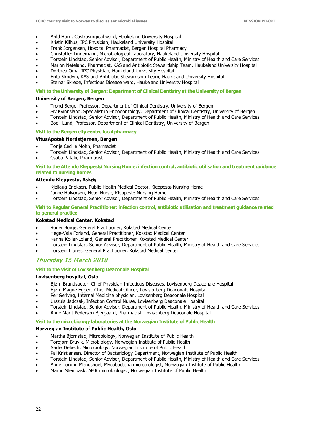- Arild Horn, Gastrosurgical ward, Haukeland University Hospital
- Kristin Kilhus, IPC Physician, Haukeland University Hospital
- Frank Jørgensen, Hospital Pharmacist, Bergen Hospital Pharmacy
- Christoffer Lindemann, Microbiological Laboratory, Haukeland University Hospital
- Torstein Lindstad, Senior Advisor, Department of Public Health, Ministry of Health and Care Services
- Marion Neteland, Pharmacist, KAS and Antibiotic Stewardship Team, Haukeland University Hospital
- Dorthea Oma, IPC Physician, Haukeland University Hospital
- Brita Skodvin, KAS and Antibiotic Stewardship Team, Haukeland University Hospital
- Steinar Skrede, Infectious Disease ward, Haukeland University Hospital

#### **Visit to the University of Bergen: Department of Clinical Dentistry at the University of Bergen**

#### **University of Bergen, Bergen**

- Trond Berge, Professor, Department of Clinical Dentistry, University of Bergen
- Siv Kvinnsland, Specialist in Endodontology, Department of Clinical Dentistry, University of Bergen
- Torstein Lindstad, Senior Advisor, Department of Public Health, Ministry of Health and Care Services
- Bodil Lund, Professor, Department of Clinical Dentistry, University of Bergen

#### **Visit to the Bergen city centre local pharmacy**

#### **VitusApotek Nordstjernen, Bergen**

- Tonje Cecilie Mohn, Pharmacist
- Torstein Lindstad, Senior Advisor, Department of Public Health, Ministry of Health and Care Services
- Csaba Pataki, Pharmacist

**Visit to the Attendo Kleppestø Nursing Home: infection control, antibiotic utilisation and treatment guidance related to nursing homes** 

#### **Attendo Kleppestø, Askøy**

- Kjellaug Enoksen, Public Health Medical Doctor, Kleppestø Nursing Home
- Janne Halvorsen, Head Nurse, Kleppestø Nursing Home
- Torstein Lindstad, Senior Advisor, Department of Public Health, Ministry of Health and Care Services

#### **Visit to Regular General Practitioner: infection control, antibiotic utilisation and treatment guidance related to general practice**

#### **Kokstad Medical Center, Kokstad**

- Roger Borge, General Practitioner, Kokstad Medical Center
- Hege-Vala Førland, General Practitioner, Kokstad Medical Center
- Karina Koller-Løland, General Practitioner, Kokstad Medical Center
- Torstein Lindstad, Senior Advisor, Department of Public Health, Ministry of Health and Care Services
- Torstein Ljones, General Practitioner, Kokstad Medical Center

### Thursday 15 March 2018

#### **Visit to the Visit of Lovisenberg Deaconale Hospital**

#### **Lovisenberg hospital, Oslo**

- Bjørn Brandsaeter, Chief Physician Infectious Diseases, Lovisenberg Deaconale Hospital
- Bjørn Magne Eggen, Chief Medical Officer, Lovisenberg Deaconale Hospital
- Per Gerlyng, Internal Medicine physician, Lovisenberg Deaconale Hospital
- Urszula Jadczak, Infection Control Nurse, Lovisenberg Deaconale Hospital
- Torstein Lindstad, Senior Advisor, Department of Public Health, Ministry of Health and Care Services
- Anne Marit Pedersen-Bjergaard, Pharmacist, Lovisenberg Deaconale Hospital

#### **Visit to the microbiology laboratories at the Norwegian Institute of Public Health**

#### **Norwegian Institute of Public Health, Oslo**

- Martha Bjørnstad, Microbiology, Norwegian Institute of Public Health
- Torbjørn Bruvik, Microbiology, Norwegian Institute of Public Health
- Nadia Debech, Microbiology, Norwegian Institute of Public Health
- Pal Kristiansen, Director of Bacteriology Department, Norwegian Institute of Public Health
- Torstein Lindstad, Senior Advisor, Department of Public Health, Ministry of Health and Care Services
- Anne Torunn Mengshoel, Mycobacteria microbiologist, Norwegian Institute of Public Health
- Martin Steinbakk, AMR microbiologist, Norwegian Institute of Public Health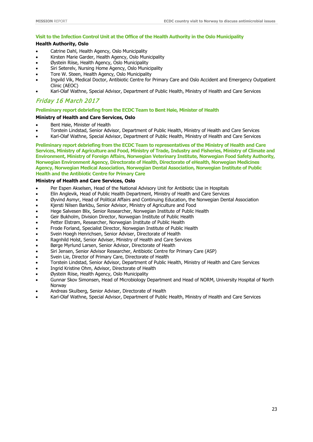#### **Visit to the Infection Control Unit at the Office of the Health Authority in the Oslo Municipality**

#### **Health Authority, Oslo**

- Catrine Dahl, Health Agency, Oslo Municipality
- Kirsten Marie Garder, Health Agency, Oslo Municipality
- Øystein Riise, Health Agency, Oslo Municipality
- Siri Seterelv, Nursing Home Agency, Oslo Municipality
- Tore W. Steen, Health Agency, Oslo Municipality
- Ingvild Vik, Medical Doctor, Antibiotic Centre for Primary Care and Oslo Accident and Emergency Outpatient Clinic (AEOC)
- Karl-Olaf Wathne, Special Advisor, Department of Public Health, Ministry of Health and Care Services

### Friday 16 March 2017

#### **Preliminary report debriefing from the ECDC Team to Bent Høie, Minister of Health**

#### **Ministry of Health and Care Services, Oslo**

- Bent Høie, Minister of Health
- Torstein Lindstad, Senior Advisor, Department of Public Health, Ministry of Health and Care Services
- Karl-Olaf Wathne, Special Advisor, Department of Public Health, Ministry of Health and Care Services

**Preliminary report debriefing from the ECDC Team to representatives of the Ministry of Health and Care Services, Ministry of Agriculture and Food, Ministry of Trade, Industry and Fisheries, Ministry of Climate and Environment, Ministry of Foreign Affairs, Norwegian Veterinary Institute, Norwegian Food Safety Authority, Norwegian Environment Agency, Directorate of Health, Directorate of eHealth, Norwegian Medicines Agency, Norwegian Medical Association, Norwegian Dental Association, Norwegian Institute of Public Health and the Antibiotic Centre for Primary Care**

#### **Ministry of Health and Care Services, Oslo**

- Per Espen Akselsen, Head of the National Advisory Unit for Antibiotic Use in Hospitals
- Elin Anglevik, Head of Public Health Department, Ministry of Health and Care Services
- Øyvind Asmyr, Head of Political Affairs and Continuing Education, the Norwegian Dental Association
- Kjersti Nilsen Barkbu, Senior Advisor, Ministry of Agriculture and Food
- Hege Salvesen Blix, Senior Researcher, Norwegian Institute of Public Health
- Geir Bukholm, Division Director, Norwegian Institute of Public Health
- Petter Elstrøm, Researcher, Norwegian Institute of Public Health
- Frode Forland, Specialist Director, Norwegian Institute of Public Health
- Svein Hoegh Henrichsen, Senior Adviser, Directorate of Health
- Ragnhild Holst, Senior Adviser, Ministry of Health and Care Services
- Børge Myrlund Larsen, Senior Advisor, Directorate of Health
- Siri Jensen, Senior Advisor Researcher, Antibiotic Centre for Primary Care (ASP)
- Svein Lie, Director of Primary Care, Directorate of Health
- Torstein Lindstad, Senior Advisor, Department of Public Health, Ministry of Health and Care Services
- Ingrid Kristine Ohm, Advisor, Directorate of Health
- Øystein Riise, Health Agency, Oslo Municipality
- Gunnar Skov Simonsen, Head of Microbiology Department and Head of NORM, University Hospital of North Norway
- Andreas Skulberg, Senior Adviser, Directorate of Health
- Karl-Olaf Wathne, Special Advisor, Department of Public Health, Ministry of Health and Care Services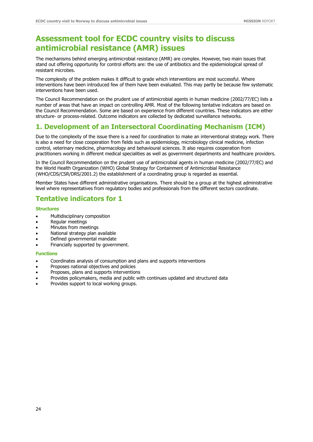# **Assessment tool for ECDC country visits to discuss antimicrobial resistance (AMR) issues**

The mechanisms behind emerging antimicrobial resistance (AMR) are complex. However, two main issues that stand out offering opportunity for control efforts are: the use of antibiotics and the epidemiological spread of resistant microbes.

The complexity of the problem makes it difficult to grade which interventions are most successful. Where interventions have been introduced few of them have been evaluated. This may partly be because few systematic interventions have been used.

The Council Recommendation on the prudent use of antimicrobial agents in human medicine (2002/77/EC) lists a number of areas that have an impact on controlling AMR. Most of the following tentative indicators are based on the Council Recommendation. Some are based on experience from different countries. These indicators are either structure- or process-related. Outcome indicators are collected by dedicated surveillance networks.

### **1. Development of an Intersectoral Coordinating Mechanism (ICM)**

Due to the complexity of the issue there is a need for coordination to make an interventional strategy work. There is also a need for close cooperation from fields such as epidemiology, microbiology clinical medicine, infection control, veterinary medicine, pharmacology and behavioural sciences. It also requires cooperation from practitioners working in different medical specialities as well as government departments and healthcare providers.

In the Council Recommendation on the prudent use of antimicrobial agents in human medicine (2002/77/EC) and the World Health Organization (WHO) Global Strategy for Containment of Antimicrobial Resistance (WHO/CDS/CSR/DRS/2001.2) the establishment of a coordinating group is regarded as essential.

Member States have different administrative organisations. There should be a group at the highest administrative level where representatives from regulatory bodies and professionals from the different sectors coordinate.

## **Tentative indicators for 1**

#### **Structures**

- Multidisciplinary composition
- Regular meetings
- Minutes from meetings
- National strategy plan available
- Defined governmental mandate
- Financially supported by government.

#### **Functions**

- Coordinates analysis of consumption and plans and supports interventions
- Proposes national objectives and policies
- Proposes, plans and supports interventions
- Provides policymakers, media and public with continues updated and structured data
- Provides support to local working groups.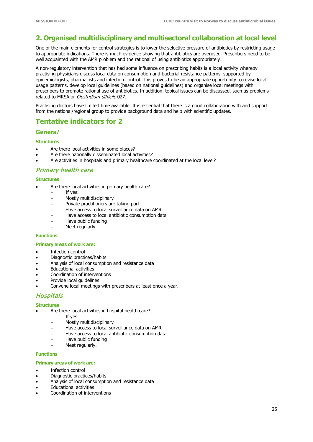## **2. Organised multidisciplinary and multisectoral collaboration at local level**

One of the main elements for control strategies is to lower the selective pressure of antibiotics by restricting usage to appropriate indications. There is much evidence showing that antibiotics are overused. Prescribers need to be well acquainted with the AMR problem and the rational of using antibiotics appropriately.

A non-regulatory intervention that has had some influence on prescribing habits is a local activity whereby practising physicians discuss local data on consumption and bacterial resistance patterns, supported by epidemiologists, pharmacists and infection control. This proves to be an appropriate opportunity to revise local usage patterns, develop local guidelines (based on national guidelines) and organise local meetings with prescribers to promote rational use of antibiotics. In addition, topical issues can be discussed, such as problems related to MRSA or Clostridium difficile 027.

Practising doctors have limited time available. It is essential that there is a good collaboration with and support from the national/regional group to provide background data and help with scientific updates.

### **Tentative indicators for 2**

#### **Genera**l

#### **Structures**

- Are there local activities in some places?
- Are there nationally disseminated local activities?
- Are activities in hospitals and primary healthcare coordinated at the local level?

### Primary health care

#### **Structures**

- Are there local activities in primary health care?
	- − If yes:
	- − Mostly multidisciplinary
	- − Private practitioners are taking part
	- − Have access to local surveillance data on AMR
	- − Have access to local antibiotic consumption data
	- − Have public funding
	- − Meet regularly.

#### **Functions**

#### **Primary areas of work are:**

- Infection control
- Diagnostic practices/habits
- Analysis of local consumption and resistance data
- Educational activities
- Coordination of interventions
- Provide local guidelines
- Convene local meetings with prescribers at least once a year.

### **Hospitals**

#### **Structures**

- Are there local activities in hospital health care?
	- If yes:
	- − Mostly multidisciplinary
	- − Have access to local surveillance data on AMR
	- − Have access to local antibiotic consumption data
	- − Have public funding
	- − Meet regularly.

#### **Functions**

#### **Primary areas of work are:**

- Infection control
- Diagnostic practices/habits
- Analysis of local consumption and resistance data
- Educational activities
- Coordination of interventions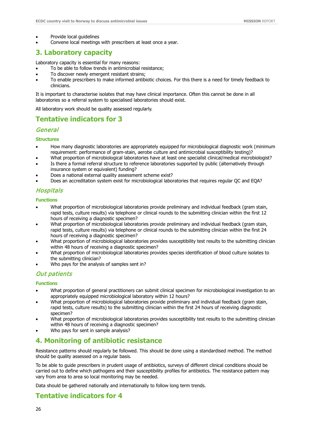- Provide local guidelines
- Convene local meetings with prescribers at least once a year.

### **3. Laboratory capacity**

Laboratory capacity is essential for many reasons:

- To be able to follow trends in antimicrobial resistance;
- To discover newly emergent resistant strains;
- To enable prescribers to make informed antibiotic choices. For this there is a need for timely feedback to clinicians.

It is important to characterise isolates that may have clinical importance. Often this cannot be done in all laboratories so a referral system to specialised laboratories should exist.

All laboratory work should be quality assessed regularly.

### **Tentative indicators for 3**

### **General**

#### **Structures**

- How many diagnostic laboratories are appropriately equipped for microbiological diagnostic work (minimum requirement: performance of gram-stain, aerobe culture and antimicrobial susceptibility testing)?
- What proportion of microbiological laboratories have at least one specialist clinical/medical microbiologist?
- Is there a formal referral structure to reference laboratories supported by public (alternatively through insurance system or equivalent) funding?
- Does a national external quality assessment scheme exist?
- Does an accreditation system exist for microbiological laboratories that requires regular QC and EQA?

#### Hospitals

**Functions**

- What proportion of microbiological laboratories provide preliminary and individual feedback (gram stain, rapid tests, culture results) via telephone or clinical rounds to the submitting clinician within the first 12 hours of receiving a diagnostic specimen?
- What proportion of microbiological laboratories provide preliminary and individual feedback (gram stain, rapid tests, culture results) via telephone or clinical rounds to the submitting clinician within the first 24 hours of receiving a diagnostic specimen?
- What proportion of microbiological laboratories provides susceptibility test results to the submitting clinician within 48 hours of receiving a diagnostic specimen?
- What proportion of microbiological laboratories provides species identification of blood culture isolates to the submitting clinician?
- Who pays for the analysis of samples sent in?

#### Out patients

#### **Functions**

- What proportion of general practitioners can submit clinical specimen for microbiological investigation to an appropriately equipped microbiological laboratory within 12 hours?
- What proportion of microbiological laboratories provide preliminary and individual feedback (gram stain, rapid tests, culture results) to the submitting clinician within the first 24 hours of receiving diagnostic specimen?
- What proportion of microbiological laboratories provides susceptibility test results to the submitting clinician within 48 hours of receiving a diagnostic specimen?
- Who pays for sent in sample analysis?

### **4. Monitoring of antibiotic resistance**

Resistance patterns should regularly be followed. This should be done using a standardised method. The method should be quality assessed on a regular basis.

To be able to guide prescribers in prudent usage of antibiotics, surveys of different clinical conditions should be carried out to define which pathogens and their susceptibility profiles for antibiotics. The resistance pattern may vary from area to area so local monitoring may be needed.

Data should be gathered nationally and internationally to follow long term trends.

### **Tentative indicators for 4**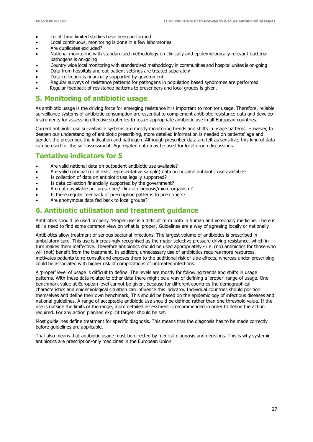- Local, time limited studies have been performed
- Local continuous, monitoring is done in a few laboratories
- Are duplicates excluded?
- National monitoring with standardised methodology on clinically and epidemiologically relevant bacterial pathogens is on-going
- Country wide local monitoring with standardised methodology in communities and hospital unites is on-going
- Data from hospitals and out-patient settings are treated separately
- Data collection is financially supported by government
- Regular surveys of resistance patterns for pathogens in population based syndromes are performed
- Regular feedback of resistance patterns to prescribers and local groups is given.

### **5. Monitoring of antibiotic usage**

As antibiotic usage is the driving force for emerging resistance it is important to monitor usage. Therefore, reliable surveillance systems of antibiotic consumption are essential to complement antibiotic resistance data and develop instruments for assessing effective strategies to foster appropriate antibiotic use in all European countries.

Current antibiotic use surveillance systems are mostly monitoring trends and shifts in usage patterns. However, to deepen our understanding of antibiotic prescribing, more detailed information is needed on patients' age and gender, the prescriber, the indication and pathogen. Although prescriber data are felt as sensitive, this kind of data can be used for the self-assessment. Aggregated data may be used for local group discussions.

## **Tentative indicators for 5**

- Are valid national data on outpatient antibiotic use available?
- Are valid national (or at least representative sample) data on hospital antibiotic use available?
- Is collection of data on antibiotic use legally supported?
- Is data collection financially supported by the government?
- Are data available per prescriber/ clinical diagnosis/micro-organism?
- Is there regular feedback of prescription patterns to prescribers?
- Are anonymous data fed back to local groups?

## **6. Antibiotic utilisation and treatment guidance**

Antibiotics should be used properly. 'Proper use' is a difficult term both in human and veterinary medicine. There is still a need to find some common view on what is 'proper'. Guidelines are a way of agreeing locally or nationally.

Antibiotics allow treatment of serious bacterial infections. The largest volume of antibiotics is prescribed in ambulatory care. This use is increasingly recognised as the major selective pressure driving resistance, which in turn makes them ineffective. Therefore antibiotics should be used appropriately - i.e. (no) antibiotics for those who will (not) benefit from the treatment. In addition, unnecessary use of antibiotics requires more resources, motivates patients to re-consult and exposes them to the additional risk of side effects, whereas under-prescribing could be associated with higher risk of complications of untreated infections.

A 'proper' level of usage is difficult to define. The levels are mostly for following trends and shifts in usage patterns. With these data related to other data there might be a way of defining a 'proper' range of usage. One benchmark value at European level cannot be given, because for different countries the demographical characteristics and epidemiological situation can influence this indicator. Individual countries should position themselves and define their own benchmark, This should be based on the epidemiology of infectious diseases and national guidelines. A range of acceptable antibiotic use should be defined rather than one threshold value. If the use is outside the limits of the range, more detailed assessment is recommended in order to define the action required. For any action planned explicit targets should be set.

Most guidelines define treatment for specific diagnosis. This means that the diagnosis has to be made correctly before guidelines are applicable.

That also means that antibiotic usage must be directed by medical diagnosis and decisions. This is why systemic antibiotics are prescription-only medicines in the European Union.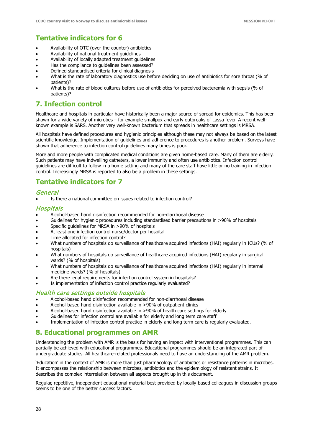## **Tentative indicators for 6**

- Availability of OTC (over-the-counter) antibiotics
- Availability of national treatment guidelines
- Availability of locally adapted treatment guidelines
- Has the compliance to guidelines been assessed?
- Defined standardised criteria for clinical diagnosis
- What is the rate of laboratory diagnostics use before deciding on use of antibiotics for sore throat (% of patients)?
- What is the rate of blood cultures before use of antibiotics for perceived bacteremia with sepsis (% of patients)?

## **7. Infection control**

Healthcare and hospitals in particular have historically been a major source of spread for epidemics. This has been shown for a wide variety of microbes – for example smallpox and early outbreaks of Lassa fever. A recent wellknown example is SARS. Another very well-known bacterium that spreads in healthcare settings is MRSA.

All hospitals have defined procedures and hygienic principles although these may not always be based on the latest scientific knowledge. Implementation of guidelines and adherence to procedures is another problem. Surveys have shown that adherence to infection control guidelines many times is poor.

More and more people with complicated medical conditions are given home-based care. Many of them are elderly. Such patients may have indwelling catheters, a lower immunity and often use antibiotics. Infection control guidelines are difficult to follow in a home setting and many of the care staff have little or no training in infection control. Increasingly MRSA is reported to also be a problem in these settings.

## **Tentative indicators for 7**

#### **General**

Is there a national committee on issues related to infection control?

### Hospitals

- Alcohol-based hand disinfection recommended for non-diarrhoeal disease
- Guidelines for hygienic procedures including standardised barrier precautions in >90% of hospitals
- Specific guidelines for MRSA in >90% of hospitals
- At least one infection control nurse/doctor per hospital
- Time allocated for infection control?
- What numbers of hospitals do surveillance of healthcare acquired infections (HAI) regularly in ICUs? (% of hospitals)
- What numbers of hospitals do surveillance of healthcare acquired infections (HAI) regularly in surgical wards? (% of hospitals)
- What numbers of hospitals do surveillance of healthcare acquired infections (HAI) regularly in internal medicine wards? (% of hospitals)
- Are there legal requirements for infection control system in hospitals?
- Is implementation of infection control practice regularly evaluated?

#### Health care settings outside hospitals

- Alcohol-based hand disinfection recommended for non-diarrhoeal disease
- Alcohol-based hand disinfection available in >90% of outpatient clinics
- Alcohol-based hand disinfection available in >90% of health care settings for elderly
- Guidelines for infection control are available for elderly and long term care staff
- Implementation of infection control practice in elderly and long term care is regularly evaluated.

### **8. Educational programmes on AMR**

Understanding the problem with AMR is the basis for having an impact with interventional programmes. This can partially be achieved with educational programmes. Educational programmes should be an integrated part of undergraduate studies. All healthcare-related professionals need to have an understanding of the AMR problem.

'Education' in the context of AMR is more than just pharmacology of antibiotics or resistance patterns in microbes. It encompasses the relationship between microbes, antibiotics and the epidemiology of resistant strains. It describes the complex interrelation between all aspects brought up in this document.

Regular, repetitive, independent educational material best provided by locally-based colleagues in discussion groups seems to be one of the better success factors.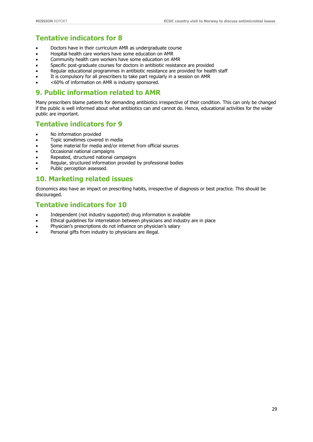## **Tentative indicators for 8**

- Doctors have in their curriculum AMR as undergraduate course
- Hospital health care workers have some education on AMR
- Community health care workers have some education on AMR
- Specific post-graduate courses for doctors in antibiotic resistance are provided
- Regular educational programmes in antibiotic resistance are provided for health staff
- It is compulsory for all prescribers to take part regularly in a session on AMR
- <60% of information on AMR is industry sponsored.

### **9. Public information related to AMR**

Many prescribers blame patients for demanding antibiotics irrespective of their condition. This can only be changed if the public is well informed about what antibiotics can and cannot do. Hence, educational activities for the wider public are important.

### **Tentative indicators for 9**

- No information provided
- Topic sometimes covered in media
- Some material for media and/or internet from official sources
- Occasional national campaigns
- Repeated, structured national campaigns
- Regular, structured information provided by professional bodies
- Public perception assessed.

### **10. Marketing related issues**

Economics also have an impact on prescribing habits, irrespective of diagnosis or best practice. This should be discouraged.

### **Tentative indicators for 10**

- Independent (not industry supported) drug information is available
- Ethical guidelines for interrelation between physicians and industry are in place
- Physician's prescriptions do not influence on physician's salary
- Personal gifts from industry to physicians are illegal.